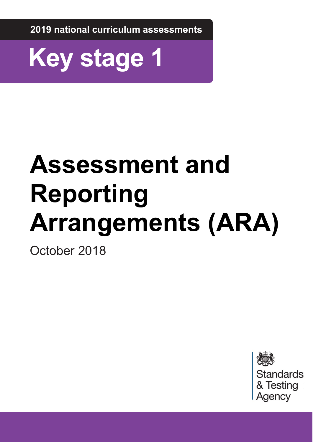**2019 national curriculum assessments**



# **Assessment and Reporting Arrangements (ARA)**

October 2018

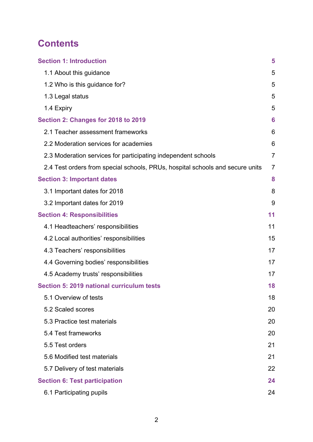# **Contents**

| <b>Section 1: Introduction</b>                                                | 5  |
|-------------------------------------------------------------------------------|----|
| 1.1 About this guidance                                                       | 5  |
| 1.2 Who is this guidance for?                                                 | 5  |
| 1.3 Legal status                                                              | 5  |
| 1.4 Expiry                                                                    | 5  |
| Section 2: Changes for 2018 to 2019                                           | 6  |
| 2.1 Teacher assessment frameworks                                             | 6  |
| 2.2 Moderation services for academies                                         | 6  |
| 2.3 Moderation services for participating independent schools                 | 7  |
| 2.4 Test orders from special schools, PRUs, hospital schools and secure units | 7  |
| <b>Section 3: Important dates</b>                                             | 8  |
| 3.1 Important dates for 2018                                                  | 8  |
| 3.2 Important dates for 2019                                                  | 9  |
| <b>Section 4: Responsibilities</b>                                            | 11 |
| 4.1 Headteachers' responsibilities                                            | 11 |
| 4.2 Local authorities' responsibilities                                       | 15 |
| 4.3 Teachers' responsibilities                                                | 17 |
| 4.4 Governing bodies' responsibilities                                        | 17 |
| 4.5 Academy trusts' responsibilities                                          | 17 |
| <b>Section 5: 2019 national curriculum tests</b>                              | 18 |
| 5.1 Overview of tests                                                         | 18 |
| 5.2 Scaled scores                                                             | 20 |
| 5.3 Practice test materials                                                   | 20 |
| 5.4 Test frameworks                                                           | 20 |
| 5.5 Test orders                                                               | 21 |
| 5.6 Modified test materials                                                   | 21 |
| 5.7 Delivery of test materials                                                | 22 |
| <b>Section 6: Test participation</b>                                          | 24 |
| 6.1 Participating pupils                                                      | 24 |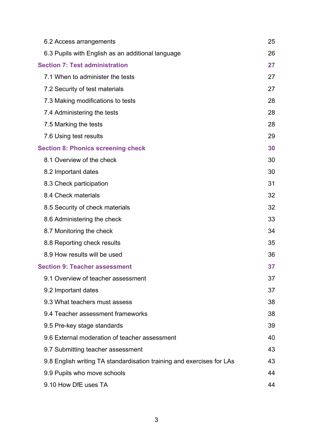| 6.2 Access arrangements                                               | 25 |
|-----------------------------------------------------------------------|----|
| 6.3 Pupils with English as an additional language                     | 26 |
| <b>Section 7: Test administration</b>                                 | 27 |
| 7.1 When to administer the tests                                      | 27 |
| 7.2 Security of test materials                                        | 27 |
| 7.3 Making modifications to tests                                     | 28 |
| 7.4 Administering the tests                                           | 28 |
| 7.5 Marking the tests                                                 | 28 |
| 7.6 Using test results                                                | 29 |
| <b>Section 8: Phonics screening check</b>                             | 30 |
| 8.1 Overview of the check                                             | 30 |
| 8.2 Important dates                                                   | 30 |
| 8.3 Check participation                                               | 31 |
| 8.4 Check materials                                                   | 32 |
| 8.5 Security of check materials                                       | 32 |
| 8.6 Administering the check                                           | 33 |
| 8.7 Monitoring the check                                              | 34 |
| 8.8 Reporting check results                                           | 35 |
| 8.9 How results will be used                                          | 36 |
| <b>Section 9: Teacher assessment</b>                                  | 37 |
| 9.1 Overview of teacher assessment                                    | 37 |
| 9.2 Important dates                                                   | 37 |
| 9.3 What teachers must assess                                         | 38 |
| 9.4 Teacher assessment frameworks                                     | 38 |
| 9.5 Pre-key stage standards                                           | 39 |
| 9.6 External moderation of teacher assessment                         | 40 |
| 9.7 Submitting teacher assessment                                     | 43 |
| 9.8 English writing TA standardisation training and exercises for LAs | 43 |
| 9.9 Pupils who move schools                                           | 44 |
| 9.10 How DfE uses TA                                                  | 44 |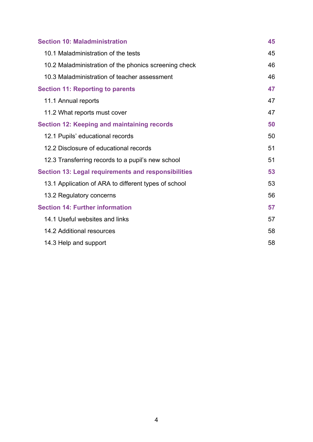| <b>Section 10: Maladministration</b>                       | 45 |
|------------------------------------------------------------|----|
| 10.1 Maladministration of the tests                        | 45 |
| 10.2 Maladministration of the phonics screening check      | 46 |
| 10.3 Maladministration of teacher assessment               | 46 |
| <b>Section 11: Reporting to parents</b>                    | 47 |
| 11.1 Annual reports                                        | 47 |
| 11.2 What reports must cover                               | 47 |
| <b>Section 12: Keeping and maintaining records</b>         | 50 |
| 12.1 Pupils' educational records                           | 50 |
| 12.2 Disclosure of educational records                     | 51 |
| 12.3 Transferring records to a pupil's new school          | 51 |
| <b>Section 13: Legal requirements and responsibilities</b> | 53 |
| 13.1 Application of ARA to different types of school       | 53 |
| 13.2 Regulatory concerns                                   | 56 |
| <b>Section 14: Further information</b>                     | 57 |
| 14.1 Useful websites and links                             | 57 |
| 14.2 Additional resources                                  | 58 |
| 14.3 Help and support                                      | 58 |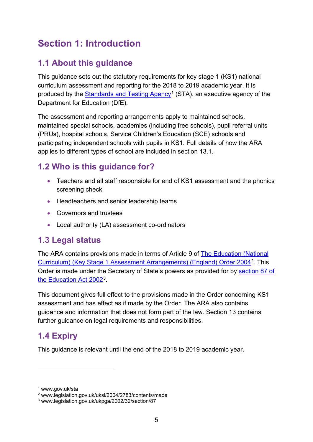# <span id="page-4-0"></span>**Section 1: Introduction**

# <span id="page-4-1"></span>**1.1 About this guidance**

This guidance sets out the statutory requirements for key stage 1 (KS1) national curriculum assessment and reporting for the 2018 to 2019 academic year. It is produced by the [Standards and Testing Agency](https://www.gov.uk/government/organisations/standards-and-testing-agency)<sup>[1](#page-4-5)</sup> (STA), an executive agency of the Department for Education (DfE).

The assessment and reporting arrangements apply to maintained schools, maintained special schools, academies (including free schools), pupil referral units (PRUs), hospital schools, Service Children's Education (SCE) schools and participating independent schools with pupils in KS1. Full details of how the ARA applies to different types of school are included in section 13.1.

# <span id="page-4-2"></span>**1.2 Who is this guidance for?**

- Teachers and all staff responsible for end of KS1 assessment and the phonics screening check
- Headteachers and senior leadership teams
- Governors and trustees
- Local authority (LA) assessment co-ordinators

# <span id="page-4-3"></span>**1.3 Legal status**

The ARA contains provisions made in terms of Article 9 of [The Education \(National](http://www.legislation.gov.uk/uksi/2004/2783/contents/made)  [Curriculum\) \(Key Stage 1 Assessment Arrangements\) \(England\) Order 2004](http://www.legislation.gov.uk/uksi/2004/2783/contents/made)[2](#page-4-6). This Order is made under the Secretary of State's powers as provided for by [section 87 of](http://www.legislation.gov.uk/ukpga/2002/32/section/87)  [the Education Act 2002](http://www.legislation.gov.uk/ukpga/2002/32/section/87)[3](#page-4-7).

This document gives full effect to the provisions made in the Order concerning KS1 assessment and has effect as if made by the Order. The ARA also contains guidance and information that does not form part of the law. Section 13 contains further guidance on legal requirements and responsibilities.

# <span id="page-4-4"></span>**1.4 Expiry**

This guidance is relevant until the end of the 2018 to 2019 academic year.

<span id="page-4-5"></span><sup>1</sup> www.gov.uk/sta

<span id="page-4-6"></span><sup>2</sup> www.legislation.gov.uk/uksi/2004/2783/contents/made

<span id="page-4-7"></span><sup>3</sup> www.legislation.gov.uk/ukpga/2002/32/section/87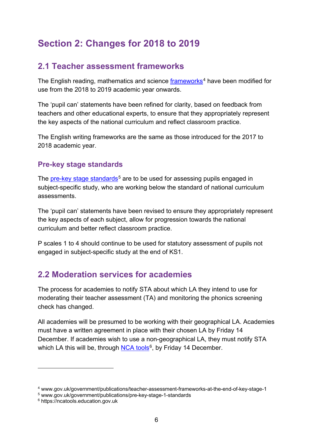# <span id="page-5-0"></span>**Section 2: Changes for 2018 to 2019**

## <span id="page-5-1"></span>**2.1 Teacher assessment frameworks**

The English reading, mathematics and science [frameworks](https://www.gov.uk/government/publications/teacher-assessment-frameworks-at-the-end-of-key-stage-1)<sup>[4](#page-5-3)</sup> have been modified for use from the 2018 to 2019 academic year onwards.

The 'pupil can' statements have been refined for clarity, based on feedback from teachers and other educational experts, to ensure that they appropriately represent the key aspects of the national curriculum and reflect classroom practice.

The English writing frameworks are the same as those introduced for the 2017 to 2018 academic year.

## **Pre-key stage standards**

The [pre-key stage standards](https://www.gov.uk/government/publications/pre-key-stage-1-standards)<sup>[5](#page-5-4)</sup> are to be used for assessing pupils engaged in subject-specific study, who are working below the standard of national curriculum assessments.

The 'pupil can' statements have been revised to ensure they appropriately represent the key aspects of each subject, allow for progression towards the national curriculum and better reflect classroom practice.

P scales 1 to 4 should continue to be used for statutory assessment of pupils not engaged in subject-specific study at the end of KS1.

# <span id="page-5-2"></span>**2.2 Moderation services for academies**

The process for academies to notify STA about which LA they intend to use for moderating their teacher assessment (TA) and monitoring the phonics screening check has changed.

All academies will be presumed to be working with their geographical LA. Academies must have a written agreement in place with their chosen LA by Friday 14 December. If academies wish to use a non-geographical LA, they must notify STA which LA this will be, through [NCA tools](https://ncatools.education.gov.uk/)<sup>[6](#page-5-5)</sup>, by Friday 14 December.

<span id="page-5-3"></span><sup>4</sup> www.gov.uk/government/publications/teacher-assessment-frameworks-at-the-end-of-key-stage-1

<span id="page-5-4"></span><sup>5</sup> www.gov.uk/government/publications/pre-key-stage-1-standards

<span id="page-5-5"></span><sup>6</sup> https://ncatools.education.gov.uk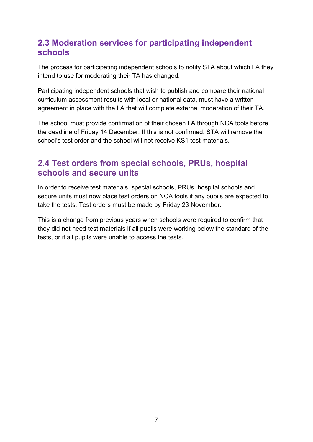# <span id="page-6-0"></span>**2.3 Moderation services for participating independent schools**

The process for participating independent schools to notify STA about which LA they intend to use for moderating their TA has changed.

Participating independent schools that wish to publish and compare their national curriculum assessment results with local or national data, must have a written agreement in place with the LA that will complete external moderation of their TA.

The school must provide confirmation of their chosen LA through NCA tools before the deadline of Friday 14 December. If this is not confirmed, STA will remove the school's test order and the school will not receive KS1 test materials.

## <span id="page-6-1"></span>**2.4 Test orders from special schools, PRUs, hospital schools and secure units**

In order to receive test materials, special schools, PRUs, hospital schools and secure units must now place test orders on NCA tools if any pupils are expected to take the tests. Test orders must be made by Friday 23 November.

This is a change from previous years when schools were required to confirm that they did not need test materials if all pupils were working below the standard of the tests, or if all pupils were unable to access the tests.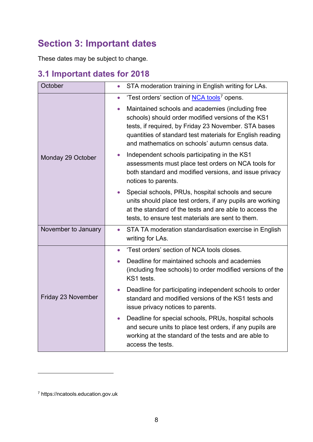# <span id="page-7-0"></span>**Section 3: Important dates**

These dates may be subject to change.

# <span id="page-7-1"></span>**3.1 Important dates for 2018**

| October             | STA moderation training in English writing for LAs.<br>$\bullet$                                                                                                                                                                                                               |
|---------------------|--------------------------------------------------------------------------------------------------------------------------------------------------------------------------------------------------------------------------------------------------------------------------------|
| Monday 29 October   | 'Test orders' section of NCA tools <sup>7</sup> opens.<br>$\bullet$                                                                                                                                                                                                            |
|                     | Maintained schools and academies (including free<br>schools) should order modified versions of the KS1<br>tests, if required, by Friday 23 November. STA bases<br>quantities of standard test materials for English reading<br>and mathematics on schools' autumn census data. |
|                     | Independent schools participating in the KS1<br>$\bullet$<br>assessments must place test orders on NCA tools for<br>both standard and modified versions, and issue privacy<br>notices to parents.                                                                              |
|                     | Special schools, PRUs, hospital schools and secure<br>units should place test orders, if any pupils are working<br>at the standard of the tests and are able to access the<br>tests, to ensure test materials are sent to them.                                                |
| November to January | STA TA moderation standardisation exercise in English<br>$\bullet$<br>writing for LAs.                                                                                                                                                                                         |
|                     | 'Test orders' section of NCA tools closes.<br>$\bullet$                                                                                                                                                                                                                        |
| Friday 23 November  | Deadline for maintained schools and academies<br>$\bullet$<br>(including free schools) to order modified versions of the<br>KS1 tests.                                                                                                                                         |
|                     | Deadline for participating independent schools to order<br>$\bullet$<br>standard and modified versions of the KS1 tests and<br>issue privacy notices to parents.                                                                                                               |
|                     | Deadline for special schools, PRUs, hospital schools<br>$\bullet$<br>and secure units to place test orders, if any pupils are<br>working at the standard of the tests and are able to<br>access the tests.                                                                     |

<span id="page-7-2"></span><sup>7</sup> https://ncatools.education.gov.uk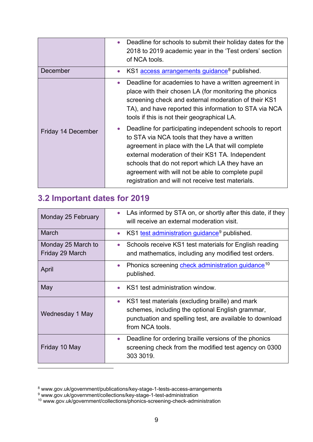|                    | Deadline for schools to submit their holiday dates for the<br>$\bullet$<br>2018 to 2019 academic year in the 'Test orders' section<br>of NCA tools.                                                                                                                                                                                                                                           |
|--------------------|-----------------------------------------------------------------------------------------------------------------------------------------------------------------------------------------------------------------------------------------------------------------------------------------------------------------------------------------------------------------------------------------------|
| December           | KS1 access arrangements guidance <sup>8</sup> published.<br>$\bullet$                                                                                                                                                                                                                                                                                                                         |
|                    | Deadline for academies to have a written agreement in<br>$\bullet$<br>place with their chosen LA (for monitoring the phonics<br>screening check and external moderation of their KS1<br>TA), and have reported this information to STA via NCA<br>tools if this is not their geographical LA.                                                                                                 |
| Friday 14 December | Deadline for participating independent schools to report<br>$\bullet$<br>to STA via NCA tools that they have a written<br>agreement in place with the LA that will complete<br>external moderation of their KS1 TA. Independent<br>schools that do not report which LA they have an<br>agreement with will not be able to complete pupil<br>registration and will not receive test materials. |

# <span id="page-8-0"></span>**3.2 Important dates for 2019**

| Monday 25 February                    | LAs informed by STA on, or shortly after this date, if they<br>$\bullet$<br>will receive an external moderation visit.                                                                          |
|---------------------------------------|-------------------------------------------------------------------------------------------------------------------------------------------------------------------------------------------------|
| March                                 | KS1 test administration guidance <sup>9</sup> published.<br>$\bullet$                                                                                                                           |
| Monday 25 March to<br>Friday 29 March | Schools receive KS1 test materials for English reading<br>$\bullet$<br>and mathematics, including any modified test orders.                                                                     |
| April                                 | Phonics screening check administration guidance <sup>10</sup><br>$\bullet$<br>published.                                                                                                        |
| May                                   | KS1 test administration window.                                                                                                                                                                 |
| Wednesday 1 May                       | KS1 test materials (excluding braille) and mark<br>$\bullet$<br>schemes, including the optional English grammar,<br>punctuation and spelling test, are available to download<br>from NCA tools. |
| Friday 10 May                         | Deadline for ordering braille versions of the phonics<br>$\bullet$<br>screening check from the modified test agency on 0300<br>303 3019.                                                        |

<span id="page-8-1"></span><sup>&</sup>lt;sup>8</sup> www.gov.uk/government/publications/key-stage-1-tests-access-arrangements

<sup>&</sup>lt;sup>9</sup> www.gov.uk/government/collections/key-stage-1-test-administration

<span id="page-8-3"></span><span id="page-8-2"></span><sup>&</sup>lt;sup>10</sup> www.gov.uk/government/collections/phonics-screening-check-administration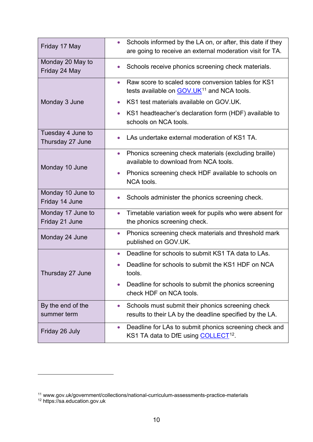| Friday 17 May                         | Schools informed by the LA on, or after, this date if they<br>$\bullet$<br>are going to receive an external moderation visit for TA. |
|---------------------------------------|--------------------------------------------------------------------------------------------------------------------------------------|
| Monday 20 May to<br>Friday 24 May     | Schools receive phonics screening check materials.<br>$\bullet$                                                                      |
|                                       | Raw score to scaled score conversion tables for KS1<br>$\bullet$<br>tests available on <b>GOV.UK</b> <sup>11</sup> and NCA tools.    |
| Monday 3 June                         | KS1 test materials available on GOV.UK.<br>$\bullet$                                                                                 |
|                                       | KS1 headteacher's declaration form (HDF) available to<br>$\bullet$<br>schools on NCA tools.                                          |
| Tuesday 4 June to<br>Thursday 27 June | LAs undertake external moderation of KS1 TA.                                                                                         |
| Monday 10 June                        | Phonics screening check materials (excluding braille)<br>$\bullet$<br>available to download from NCA tools.                          |
|                                       | Phonics screening check HDF available to schools on<br>$\bullet$<br>NCA tools.                                                       |
|                                       |                                                                                                                                      |
| Monday 10 June to<br>Friday 14 June   | Schools administer the phonics screening check.                                                                                      |
| Monday 17 June to<br>Friday 21 June   | Timetable variation week for pupils who were absent for<br>$\bullet$<br>the phonics screening check.                                 |
| Monday 24 June                        | Phonics screening check materials and threshold mark<br>$\bullet$<br>published on GOV.UK.                                            |
|                                       | Deadline for schools to submit KS1 TA data to LAs.<br>$\bullet$                                                                      |
| Thursday 27 June                      | Deadline for schools to submit the KS1 HDF on NCA<br>tools.                                                                          |
|                                       | Deadline for schools to submit the phonics screening<br>check HDF on NCA tools.                                                      |
| By the end of the<br>summer term      | Schools must submit their phonics screening check<br>$\bullet$<br>results to their LA by the deadline specified by the LA.           |

<span id="page-9-0"></span><sup>&</sup>lt;sup>11</sup> www.gov.uk/government/collections/national-curriculum-assessments-practice-materials

<span id="page-9-1"></span><sup>12</sup> https://sa.education.gov.uk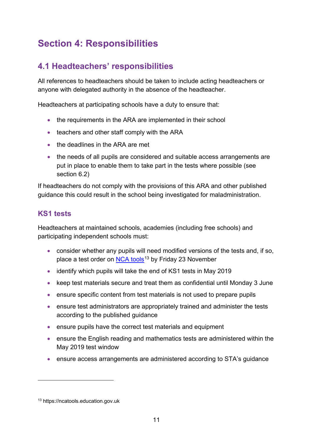# <span id="page-10-0"></span>**Section 4: Responsibilities**

# <span id="page-10-1"></span>**4.1 Headteachers' responsibilities**

All references to headteachers should be taken to include acting headteachers or anyone with delegated authority in the absence of the headteacher.

Headteachers at participating schools have a duty to ensure that:

- the requirements in the ARA are implemented in their school
- teachers and other staff comply with the ARA
- the deadlines in the ARA are met
- the needs of all pupils are considered and suitable access arrangements are put in place to enable them to take part in the tests where possible (see section 6.2)

If headteachers do not comply with the provisions of this ARA and other published guidance this could result in the school being investigated for maladministration.

## **KS1 tests**

Headteachers at maintained schools, academies (including free schools) and participating independent schools must:

- consider whether any pupils will need modified versions of the tests and, if so, place a test order on **NCA tools**<sup>13</sup> by Friday 23 November
- identify which pupils will take the end of KS1 tests in May 2019
- keep test materials secure and treat them as confidential until Monday 3 June
- ensure specific content from test materials is not used to prepare pupils
- ensure test administrators are appropriately trained and administer the tests according to the published guidance
- ensure pupils have the correct test materials and equipment
- ensure the English reading and mathematics tests are administered within the May 2019 test window
- ensure access arrangements are administered according to STA's guidance

<span id="page-10-2"></span><sup>13</sup> https://ncatools.education.gov.uk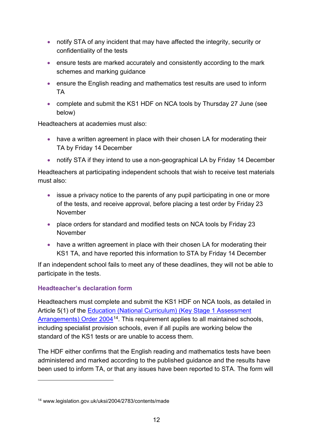- notify STA of any incident that may have affected the integrity, security or confidentiality of the tests
- ensure tests are marked accurately and consistently according to the mark schemes and marking guidance
- ensure the English reading and mathematics test results are used to inform TA
- complete and submit the KS1 HDF on NCA tools by Thursday 27 June (see below)

Headteachers at academies must also:

- have a written agreement in place with their chosen LA for moderating their TA by Friday 14 December
- notify STA if they intend to use a non-geographical LA by Friday 14 December

Headteachers at participating independent schools that wish to receive test materials must also:

- issue a privacy notice to the parents of any pupil participating in one or more of the tests, and receive approval, before placing a test order by Friday 23 November
- place orders for standard and modified tests on NCA tools by Friday 23 November
- have a written agreement in place with their chosen LA for moderating their KS1 TA, and have reported this information to STA by Friday 14 December

If an independent school fails to meet any of these deadlines, they will not be able to participate in the tests.

#### **Headteacher's declaration form**

<u>.</u>

Headteachers must complete and submit the KS1 HDF on NCA tools, as detailed in Article 5(1) of the [Education \(National Curriculum\) \(Key Stage 1 Assessment](http://www.legislation.gov.uk/uksi/2004/2783/contents/made)  [Arrangements\) Order 2004](http://www.legislation.gov.uk/uksi/2004/2783/contents/made)<sup>14</sup>. This requirement applies to all maintained schools, including specialist provision schools, even if all pupils are working below the standard of the KS1 tests or are unable to access them.

The HDF either confirms that the English reading and mathematics tests have been administered and marked according to the published guidance and the results have been used to inform TA, or that any issues have been reported to STA. The form will

<span id="page-11-0"></span><sup>14</sup> www.legislation.gov.uk/uksi/2004/2783/contents/made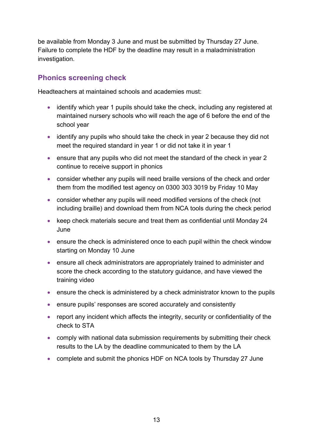be available from Monday 3 June and must be submitted by Thursday 27 June. Failure to complete the HDF by the deadline may result in a maladministration investigation.

## **Phonics screening check**

Headteachers at maintained schools and academies must:

- identify which year 1 pupils should take the check, including any registered at maintained nursery schools who will reach the age of 6 before the end of the school year
- identify any pupils who should take the check in year 2 because they did not meet the required standard in year 1 or did not take it in year 1
- ensure that any pupils who did not meet the standard of the check in year 2 continue to receive support in phonics
- consider whether any pupils will need braille versions of the check and order them from the modified test agency on 0300 303 3019 by Friday 10 May
- consider whether any pupils will need modified versions of the check (not including braille) and download them from NCA tools during the check period
- keep check materials secure and treat them as confidential until Monday 24 June
- ensure the check is administered once to each pupil within the check window starting on Monday 10 June
- ensure all check administrators are appropriately trained to administer and score the check according to the statutory guidance, and have viewed the training video
- ensure the check is administered by a check administrator known to the pupils
- ensure pupils' responses are scored accurately and consistently
- report any incident which affects the integrity, security or confidentiality of the check to STA
- comply with national data submission requirements by submitting their check results to the LA by the deadline communicated to them by the LA
- complete and submit the phonics HDF on NCA tools by Thursday 27 June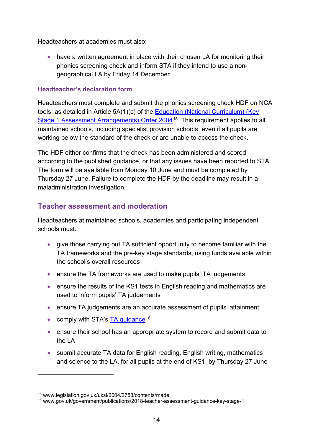Headteachers at academies must also:

• have a written agreement in place with their chosen LA for monitoring their phonics screening check and inform STA if they intend to use a nongeographical LA by Friday 14 December

#### **Headteacher's declaration form**

Headteachers must complete and submit the phonics screening check HDF on NCA tools, as detailed in Article 5A(1)(c) of the [Education \(National Curriculum\) \(Key](http://www.legislation.gov.uk/uksi/2004/2783/contents/made)  [Stage 1 Assessment Arrangements\) Order](http://www.legislation.gov.uk/uksi/2004/2783/contents/made) 2004[15](#page-13-0). This requirement applies to all maintained schools, including specialist provision schools, even if all pupils are working below the standard of the check or are unable to access the check.

The HDF either confirms that the check has been administered and scored according to the published guidance, or that any issues have been reported to STA. The form will be available from Monday 10 June and must be completed by Thursday 27 June. Failure to complete the HDF by the deadline may result in a maladministration investigation.

## **Teacher assessment and moderation**

Headteachers at maintained schools, academies and participating independent schools must:

- give those carrying out TA sufficient opportunity to become familiar with the TA frameworks and the pre-key stage standards, using funds available within the school's overall resources
- ensure the TA frameworks are used to make pupils' TA judgements
- ensure the results of the KS1 tests in English reading and mathematics are used to inform pupils' TA judgements
- ensure TA judgements are an accurate assessment of pupils' attainment
- comply with STA's TA quidance<sup>[16](#page-13-1)</sup>
- ensure their school has an appropriate system to record and submit data to the LA
- submit accurate TA data for English reading, English writing, mathematics and science to the LA, for all pupils at the end of KS1, by Thursday 27 June

<span id="page-13-0"></span><sup>15</sup> www.legislation.gov.uk/uksi/2004/2783/contents/made

<span id="page-13-1"></span><sup>16</sup> www.gov.uk/government/publications/2018-teacher-assessment-guidance-key-stage-1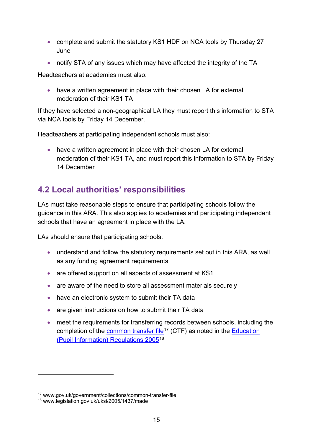- complete and submit the statutory KS1 HDF on NCA tools by Thursday 27 June
- notify STA of any issues which may have affected the integrity of the TA

Headteachers at academies must also:

• have a written agreement in place with their chosen LA for external moderation of their KS1 TA

If they have selected a non-geographical LA they must report this information to STA via NCA tools by Friday 14 December.

Headteachers at participating independent schools must also:

• have a written agreement in place with their chosen LA for external moderation of their KS1 TA, and must report this information to STA by Friday 14 December

# <span id="page-14-0"></span>**4.2 Local authorities' responsibilities**

LAs must take reasonable steps to ensure that participating schools follow the guidance in this ARA. This also applies to academies and participating independent schools that have an agreement in place with the LA.

LAs should ensure that participating schools:

- understand and follow the statutory requirements set out in this ARA, as well as any funding agreement requirements
- are offered support on all aspects of assessment at KS1
- are aware of the need to store all assessment materials securely
- have an electronic system to submit their TA data
- are given instructions on how to submit their TA data
- meet the requirements for transferring records between schools, including the completion of the [common transfer file](http://www.gov.uk/government/collections/common-transfer-file)<sup>17</sup> (CTF) as noted in the Education [\(Pupil Information\) Regulations 2005](http://www.legislation.gov.uk/uksi/2005/1437/made)[18](#page-14-2)

<span id="page-14-1"></span><sup>17</sup> www.gov.uk/government/collections/common-transfer-file

<span id="page-14-2"></span><sup>18</sup> www.legislation.gov.uk/uksi/2005/1437/made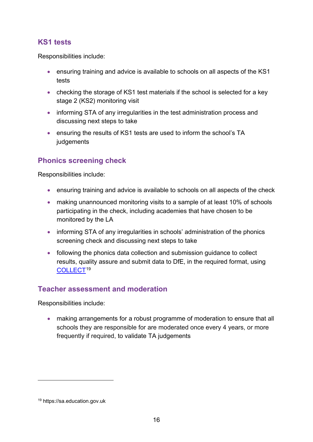## **KS1 tests**

Responsibilities include:

- ensuring training and advice is available to schools on all aspects of the KS1 tests
- checking the storage of KS1 test materials if the school is selected for a key stage 2 (KS2) monitoring visit
- informing STA of any irregularities in the test administration process and discussing next steps to take
- ensuring the results of KS1 tests are used to inform the school's TA judgements

## **Phonics screening check**

Responsibilities include:

- ensuring training and advice is available to schools on all aspects of the check
- making unannounced monitoring visits to a sample of at least 10% of schools participating in the check, including academies that have chosen to be monitored by the LA
- informing STA of any irregularities in schools' administration of the phonics screening check and discussing next steps to take
- following the phonics data collection and submission guidance to collect results, quality assure and submit data to DfE, in the required format, using [COLLECT](https://sa.education.gov.uk/)<sup>[19](#page-15-0)</sup>

## **Teacher assessment and moderation**

Responsibilities include:

• making arrangements for a robust programme of moderation to ensure that all schools they are responsible for are moderated once every 4 years, or more frequently if required, to validate TA judgements

<span id="page-15-0"></span><sup>19</sup> https://sa.education.gov.uk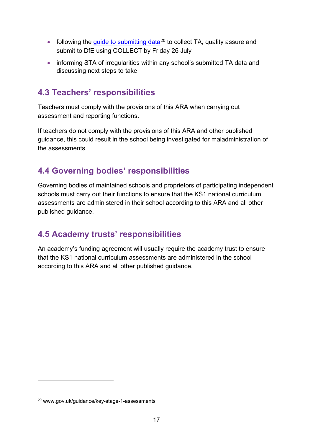- following the guide to submitting  $data^{20}$  $data^{20}$  $data^{20}$  to collect TA, quality assure and submit to DfE using COLLECT by Friday 26 July
- informing STA of irregularities within any school's submitted TA data and discussing next steps to take

# <span id="page-16-0"></span>**4.3 Teachers' responsibilities**

Teachers must comply with the provisions of this ARA when carrying out assessment and reporting functions.

If teachers do not comply with the provisions of this ARA and other published guidance, this could result in the school being investigated for maladministration of the assessments.

# <span id="page-16-1"></span>**4.4 Governing bodies' responsibilities**

Governing bodies of maintained schools and proprietors of participating independent schools must carry out their functions to ensure that the KS1 national curriculum assessments are administered in their school according to this ARA and all other published guidance.

# <span id="page-16-2"></span>**4.5 Academy trusts' responsibilities**

An academy's funding agreement will usually require the academy trust to ensure that the KS1 national curriculum assessments are administered in the school according to this ARA and all other published guidance.

<span id="page-16-3"></span><sup>20</sup> www.gov.uk/guidance/key-stage-1-assessments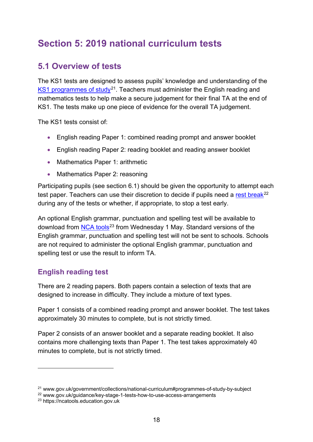# <span id="page-17-0"></span>**Section 5: 2019 national curriculum tests**

# <span id="page-17-1"></span>**5.1 Overview of tests**

The KS1 tests are designed to assess pupils' knowledge and understanding of the [KS1 programmes of study](https://www.gov.uk/government/collections/national-curriculum#programmes-of-study-by-subject)<sup>[21](#page-17-2)</sup>. Teachers must administer the English reading and mathematics tests to help make a secure judgement for their final TA at the end of KS1. The tests make up one piece of evidence for the overall TA judgement.

The KS1 tests consist of:

- English reading Paper 1: combined reading prompt and answer booklet
- English reading Paper 2: reading booklet and reading answer booklet
- Mathematics Paper 1: arithmetic
- Mathematics Paper 2: reasoning

Participating pupils (see section 6.1) should be given the opportunity to attempt each test paper. Teachers can use their discretion to decide if pupils need a [rest break](https://www.gov.uk/guidance/key-stage-1-tests-how-to-use-access-arrangements)<sup>[22](#page-17-3)</sup> during any of the tests or whether, if appropriate, to stop a test early.

An optional English grammar, punctuation and spelling test will be available to download from [NCA tools](https://ncatools.education.gov.uk/)<sup>[23](#page-17-4)</sup> from Wednesday 1 May. Standard versions of the English grammar, punctuation and spelling test will not be sent to schools. Schools are not required to administer the optional English grammar, punctuation and spelling test or use the result to inform TA.

## **English reading test**

There are 2 reading papers. Both papers contain a selection of texts that are designed to increase in difficulty. They include a mixture of text types.

Paper 1 consists of a combined reading prompt and answer booklet. The test takes approximately 30 minutes to complete, but is not strictly timed.

Paper 2 consists of an answer booklet and a separate reading booklet. It also contains more challenging texts than Paper 1. The test takes approximately 40 minutes to complete, but is not strictly timed.

<span id="page-17-2"></span><sup>21</sup> www.gov.uk/government/collections/national-curriculum#programmes-of-study-by-subject

<span id="page-17-3"></span><sup>22</sup> www.gov.uk/guidance/key-stage-1-tests-how-to-use-access-arrangements

<span id="page-17-4"></span><sup>23</sup> https://ncatools.education.gov.uk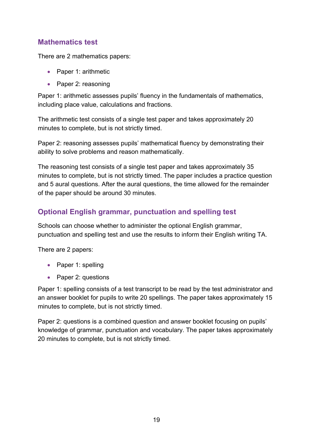## **Mathematics test**

There are 2 mathematics papers:

- Paper 1: arithmetic
- Paper 2: reasoning

Paper 1: arithmetic assesses pupils' fluency in the fundamentals of mathematics, including place value, calculations and fractions.

The arithmetic test consists of a single test paper and takes approximately 20 minutes to complete, but is not strictly timed.

Paper 2: reasoning assesses pupils' mathematical fluency by demonstrating their ability to solve problems and reason mathematically.

The reasoning test consists of a single test paper and takes approximately 35 minutes to complete, but is not strictly timed. The paper includes a practice question and 5 aural questions. After the aural questions, the time allowed for the remainder of the paper should be around 30 minutes.

## **Optional English grammar, punctuation and spelling test**

Schools can choose whether to administer the optional English grammar, punctuation and spelling test and use the results to inform their English writing TA.

There are 2 papers:

- Paper 1: spelling
- Paper 2: questions

Paper 1: spelling consists of a test transcript to be read by the test administrator and an answer booklet for pupils to write 20 spellings. The paper takes approximately 15 minutes to complete, but is not strictly timed.

Paper 2: questions is a combined question and answer booklet focusing on pupils' knowledge of grammar, punctuation and vocabulary. The paper takes approximately 20 minutes to complete, but is not strictly timed.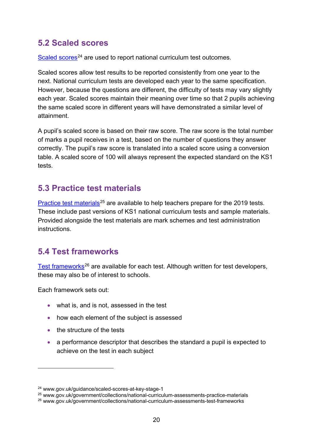## <span id="page-19-0"></span>**5.2 Scaled scores**

[Scaled scores](https://www.gov.uk/guidance/scaled-scores)<sup>[24](#page-19-3)</sup> are used to report national curriculum test outcomes.

Scaled scores allow test results to be reported consistently from one year to the next. National curriculum tests are developed each year to the same specification. However, because the questions are different, the difficulty of tests may vary slightly each year. Scaled scores maintain their meaning over time so that 2 pupils achieving the same scaled score in different years will have demonstrated a similar level of attainment.

A pupil's scaled score is based on their raw score. The raw score is the total number of marks a pupil receives in a test, based on the number of questions they answer correctly. The pupil's raw score is translated into a scaled score using a conversion table. A scaled score of 100 will always represent the expected standard on the KS1 tests.

# <span id="page-19-1"></span>**5.3 Practice test materials**

[Practice test materials](https://www.gov.uk/government/collections/national-curriculum-assessments-practice-materials)<sup>[25](#page-19-4)</sup> are available to help teachers prepare for the 2019 tests. These include past versions of KS1 national curriculum tests and sample materials. Provided alongside the test materials are mark schemes and test administration instructions.

# <span id="page-19-2"></span>**5.4 Test frameworks**

[Test frameworks](https://www.gov.uk/government/collections/national-curriculum-assessments-test-frameworks)<sup>[26](#page-19-5)</sup> are available for each test. Although written for test developers, these may also be of interest to schools.

Each framework sets out:

- what is, and is not, assessed in the test
- how each element of the subject is assessed
- the structure of the tests
- a performance descriptor that describes the standard a pupil is expected to achieve on the test in each subject

<span id="page-19-3"></span><sup>24</sup> www.gov.uk/guidance/scaled-scores-at-key-stage-1

<span id="page-19-4"></span><sup>25</sup> www.gov.uk/government/collections/national-curriculum-assessments-practice-materials

<span id="page-19-5"></span><sup>26</sup> www.gov.uk/government/collections/national-curriculum-assessments-test-frameworks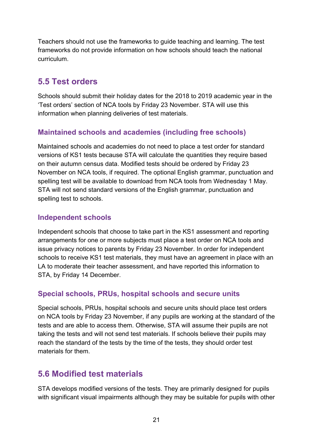Teachers should not use the frameworks to guide teaching and learning. The test frameworks do not provide information on how schools should teach the national curriculum.

## <span id="page-20-0"></span>**5.5 Test orders**

Schools should submit their holiday dates for the 2018 to 2019 academic year in the 'Test orders' section of NCA tools by Friday 23 November. STA will use this information when planning deliveries of test materials.

## **Maintained schools and academies (including free schools)**

Maintained schools and academies do not need to place a test order for standard versions of KS1 tests because STA will calculate the quantities they require based on their autumn census data. Modified tests should be ordered by Friday 23 November on NCA tools, if required. The optional English grammar, punctuation and spelling test will be available to download from NCA tools from Wednesday 1 May. STA will not send standard versions of the English grammar, punctuation and spelling test to schools.

#### **Independent schools**

Independent schools that choose to take part in the KS1 assessment and reporting arrangements for one or more subjects must place a test order on NCA tools and issue privacy notices to parents by Friday 23 November. In order for independent schools to receive KS1 test materials, they must have an agreement in place with an LA to moderate their teacher assessment, and have reported this information to STA, by Friday 14 December.

## **Special schools, PRUs, hospital schools and secure units**

Special schools, PRUs, hospital schools and secure units should place test orders on NCA tools by Friday 23 November, if any pupils are working at the standard of the tests and are able to access them. Otherwise, STA will assume their pupils are not taking the tests and will not send test materials. If schools believe their pupils may reach the standard of the tests by the time of the tests, they should order test materials for them.

## <span id="page-20-1"></span>**5.6 Modified test materials**

STA develops modified versions of the tests. They are primarily designed for pupils with significant visual impairments although they may be suitable for pupils with other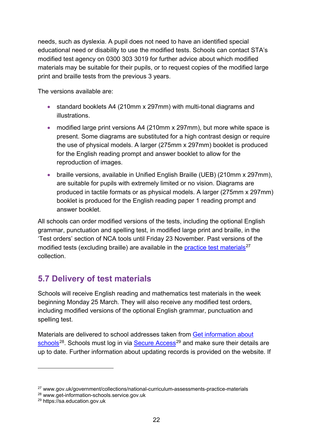needs, such as dyslexia. A pupil does not need to have an identified special educational need or disability to use the modified tests. Schools can contact STA's modified test agency on 0300 303 3019 for further advice about which modified materials may be suitable for their pupils, or to request copies of the modified large print and braille tests from the previous 3 years.

The versions available are:

- standard booklets A4 (210mm x 297mm) with multi-tonal diagrams and illustrations.
- modified large print versions A4 (210mm x 297mm), but more white space is present. Some diagrams are substituted for a high contrast design or require the use of physical models. A larger (275mm x 297mm) booklet is produced for the English reading prompt and answer booklet to allow for the reproduction of images.
- braille versions, available in Unified English Braille (UEB) (210mm x 297mm), are suitable for pupils with extremely limited or no vision. Diagrams are produced in tactile formats or as physical models. A larger (275mm x 297mm) booklet is produced for the English reading paper 1 reading prompt and answer booklet.

All schools can order modified versions of the tests, including the optional English grammar, punctuation and spelling test, in modified large print and braille, in the 'Test orders' section of NCA tools until Friday 23 November. Past versions of the modified tests (excluding braille) are available in the [practice test materials](http://www.gov.uk/government/collections/national-curriculum-assessments-practice-materials)<sup>[27](#page-21-1)</sup> collection.

# <span id="page-21-0"></span>**5.7 Delivery of test materials**

Schools will receive English reading and mathematics test materials in the week beginning Monday 25 March. They will also receive any modified test orders, including modified versions of the optional English grammar, punctuation and spelling test.

Materials are delivered to school addresses taken from [Get information about](http://www.get-information-schools.service.gov.uk/)  [schools](http://www.get-information-schools.service.gov.uk/)<sup>[28](#page-21-2)</sup>. Schools must log in via [Secure Access](https://sa.education.gov.uk/)<sup>[29](#page-21-3)</sup> and make sure their details are up to date. Further information about updating records is provided on the website. If

<span id="page-21-1"></span><sup>27</sup> www.gov.uk/government/collections/national-curriculum-assessments-practice-materials

<span id="page-21-2"></span><sup>28</sup> www.get-information-schools.service.gov.uk

<span id="page-21-3"></span><sup>29</sup> https://sa.education.gov.uk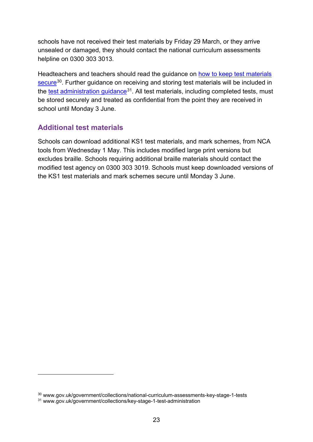schools have not received their test materials by Friday 29 March, or they arrive unsealed or damaged, they should contact the national curriculum assessments helpline on 0300 303 3013.

Headteachers and teachers should read the guidance on [how to keep test materials](https://www.gov.uk/government/collections/national-curriculum-assessments-key-stage-1-tests)  [secure](https://www.gov.uk/government/collections/national-curriculum-assessments-key-stage-1-tests)<sup>[30](#page-22-0)</sup>. Further guidance on receiving and storing test materials will be included in the [test administration guidance](http://www.gov.uk/government/collections/key-stage-1-test-administration)<sup>31</sup>. All test materials, including completed tests, must be stored securely and treated as confidential from the point they are received in school until Monday 3 June.

## **Additional test materials**

Schools can download additional KS1 test materials, and mark schemes, from NCA tools from Wednesday 1 May. This includes modified large print versions but excludes braille. Schools requiring additional braille materials should contact the modified test agency on 0300 303 3019. Schools must keep downloaded versions of the KS1 test materials and mark schemes secure until Monday 3 June.

<sup>30</sup> www.gov.uk/government/collections/national-curriculum-assessments-key-stage-1-tests

<span id="page-22-1"></span><span id="page-22-0"></span><sup>31</sup> www.gov.uk/government/collections/key-stage-1-test-administration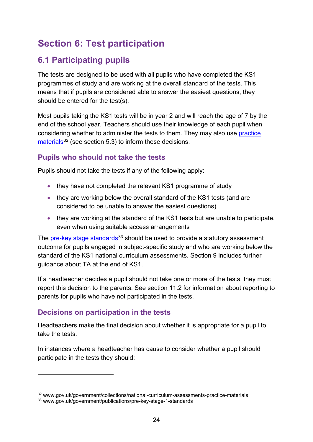# <span id="page-23-0"></span>**Section 6: Test participation**

# <span id="page-23-1"></span>**6.1 Participating pupils**

The tests are designed to be used with all pupils who have completed the KS1 programmes of study and are working at the overall standard of the tests. This means that if pupils are considered able to answer the easiest questions, they should be entered for the test(s).

Most pupils taking the KS1 tests will be in year 2 and will reach the age of 7 by the end of the school year. Teachers should use their knowledge of each pupil when considering whether to administer the tests to them. They may also use [practice](http://www.gov.uk/government/collections/national-curriculum-assessments-practice-materials) [materials](http://www.gov.uk/government/collections/national-curriculum-assessments-practice-materials)<sup>[32](#page-23-2)</sup> (see section 5.3) to inform these decisions.

## **Pupils who should not take the tests**

Pupils should not take the tests if any of the following apply:

- they have not completed the relevant KS1 programme of study
- they are working below the overall standard of the KS1 tests (and are considered to be unable to answer the easiest questions)
- they are working at the standard of the KS1 tests but are unable to participate, even when using suitable access arrangements

The [pre-key stage standards](https://www.gov.uk/government/publications/pre-key-stage-1-standards)<sup>[33](#page-23-3)</sup> should be used to provide a statutory assessment outcome for pupils engaged in subject-specific study and who are working below the standard of the KS1 national curriculum assessments. Section 9 includes further guidance about TA at the end of KS1.

If a headteacher decides a pupil should not take one or more of the tests, they must report this decision to the parents. See section 11.2 for information about reporting to parents for pupils who have not participated in the tests.

## **Decisions on participation in the tests**

-

Headteachers make the final decision about whether it is appropriate for a pupil to take the tests.

In instances where a headteacher has cause to consider whether a pupil should participate in the tests they should:

<span id="page-23-2"></span><sup>32</sup> www.gov.uk/government/collections/national-curriculum-assessments-practice-materials

<span id="page-23-3"></span><sup>33</sup> www.gov.uk/government/publications/pre-key-stage-1-standards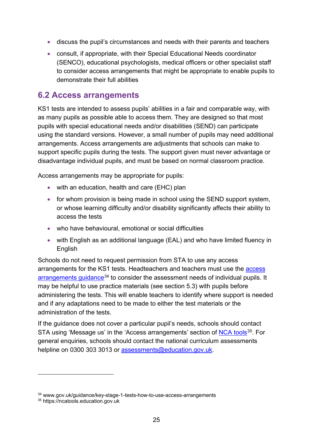- discuss the pupil's circumstances and needs with their parents and teachers
- consult, if appropriate, with their Special Educational Needs coordinator (SENCO), educational psychologists, medical officers or other specialist staff to consider access arrangements that might be appropriate to enable pupils to demonstrate their full abilities

## <span id="page-24-0"></span>**6.2 Access arrangements**

KS1 tests are intended to assess pupils' abilities in a fair and comparable way, with as many pupils as possible able to access them. They are designed so that most pupils with special educational needs and/or disabilities (SEND) can participate using the standard versions. However, a small number of pupils may need additional arrangements. Access arrangements are adjustments that schools can make to support specific pupils during the tests. The support given must never advantage or disadvantage individual pupils, and must be based on normal classroom practice.

Access arrangements may be appropriate for pupils:

- with an education, health and care (EHC) plan
- for whom provision is being made in school using the SEND support system, or whose learning difficulty and/or disability significantly affects their ability to access the tests
- who have behavioural, emotional or social difficulties
- with English as an additional language (EAL) and who have limited fluency in English

Schools do not need to request permission from STA to use any access arrangements for the KS1 tests. Headteachers and teachers must use the [access](http://www.gov.uk/guidance/key-stage-1-tests-how-to-use-access-arrangements)  [arrangements guidance](http://www.gov.uk/guidance/key-stage-1-tests-how-to-use-access-arrangements)<sup>[34](#page-24-1)</sup> to consider the assessment needs of individual pupils. It may be helpful to use practice materials (see section 5.3) with pupils before administering the tests. This will enable teachers to identify where support is needed and if any adaptations need to be made to either the test materials or the administration of the tests.

If the guidance does not cover a particular pupil's needs, schools should contact STA using 'Message us' in the 'Access arrangements' section of [NCA tools](https://ncatools.education.gov.uk/)<sup>35</sup>. For general enquiries, schools should contact the national curriculum assessments helpline on 0300 303 3013 or [assessments@education.gov.uk.](mailto:assessments@education.gov.uk)

<span id="page-24-1"></span><sup>34</sup> www.gov.uk/guidance/key-stage-1-tests-how-to-use-access-arrangements

<span id="page-24-2"></span><sup>35</sup> https://ncatools.education.gov.uk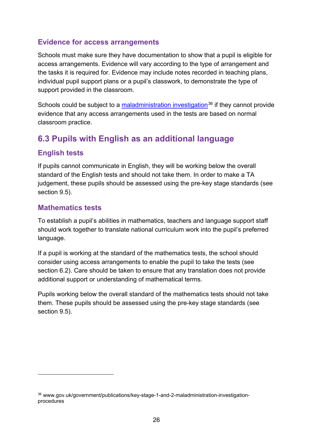## **Evidence for access arrangements**

Schools must make sure they have documentation to show that a pupil is eligible for access arrangements. Evidence will vary according to the type of arrangement and the tasks it is required for. Evidence may include notes recorded in teaching plans, individual pupil support plans or a pupil's classwork, to demonstrate the type of support provided in the classroom.

Schools could be subject to a [maladministration investigation](https://www.gov.uk/government/publications/key-stage-1-and-2-maladministration-investigation-procedures)<sup>[36](#page-25-1)</sup> if they cannot provide evidence that any access arrangements used in the tests are based on normal classroom practice.

## <span id="page-25-0"></span>**6.3 Pupils with English as an additional language**

## **English tests**

If pupils cannot communicate in English, they will be working below the overall standard of the English tests and should not take them. In order to make a TA judgement, these pupils should be assessed using the pre-key stage standards (see section 9.5).

#### **Mathematics tests**

-

To establish a pupil's abilities in mathematics, teachers and language support staff should work together to translate national curriculum work into the pupil's preferred language.

If a pupil is working at the standard of the mathematics tests, the school should consider using access arrangements to enable the pupil to take the tests (see section 6.2). Care should be taken to ensure that any translation does not provide additional support or understanding of mathematical terms.

Pupils working below the overall standard of the mathematics tests should not take them. These pupils should be assessed using the pre-key stage standards (see section 9.5).

<span id="page-25-1"></span><sup>&</sup>lt;sup>36</sup> www.gov.uk/government/publications/key-stage-1-and-2-maladministration-investigationprocedures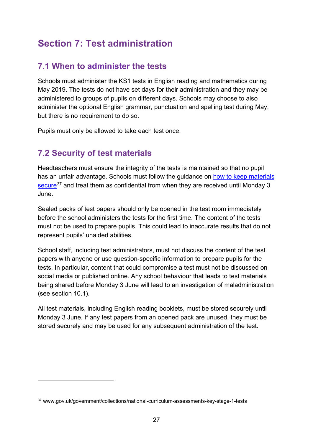# <span id="page-26-0"></span>**Section 7: Test administration**

# <span id="page-26-1"></span>**7.1 When to administer the tests**

Schools must administer the KS1 tests in English reading and mathematics during May 2019. The tests do not have set days for their administration and they may be administered to groups of pupils on different days. Schools may choose to also administer the optional English grammar, punctuation and spelling test during May, but there is no requirement to do so.

Pupils must only be allowed to take each test once.

# <span id="page-26-2"></span>**7.2 Security of test materials**

<u>.</u>

Headteachers must ensure the integrity of the tests is maintained so that no pupil has an unfair advantage. Schools must follow the guidance on [how to keep materials](http://www.gov.uk/government/collections/national-curriculum-assessments-key-stage-1-tests)  [secure](http://www.gov.uk/government/collections/national-curriculum-assessments-key-stage-1-tests)<sup>[37](#page-26-3)</sup> and treat them as confidential from when they are received until Monday 3 June.

Sealed packs of test papers should only be opened in the test room immediately before the school administers the tests for the first time. The content of the tests must not be used to prepare pupils. This could lead to inaccurate results that do not represent pupils' unaided abilities.

School staff, including test administrators, must not discuss the content of the test papers with anyone or use question-specific information to prepare pupils for the tests. In particular, content that could compromise a test must not be discussed on social media or published online. Any school behaviour that leads to test materials being shared before Monday 3 June will lead to an investigation of maladministration (see section 10.1).

All test materials, including English reading booklets, must be stored securely until Monday 3 June. If any test papers from an opened pack are unused, they must be stored securely and may be used for any subsequent administration of the test.

<span id="page-26-3"></span><sup>37</sup> www.gov.uk/government/collections/national-curriculum-assessments-key-stage-1-tests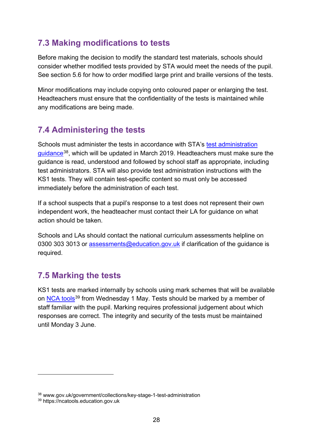# <span id="page-27-0"></span>**7.3 Making modifications to tests**

Before making the decision to modify the standard test materials, schools should consider whether modified tests provided by STA would meet the needs of the pupil. See section 5.6 for how to order modified large print and braille versions of the tests.

Minor modifications may include copying onto coloured paper or enlarging the test. Headteachers must ensure that the confidentiality of the tests is maintained while any modifications are being made.

# <span id="page-27-1"></span>**7.4 Administering the tests**

Schools must administer the tests in accordance with STA's [test administration](https://www.gov.uk/government/collections/key-stage-1-test-administration)  [guidance](https://www.gov.uk/government/collections/key-stage-1-test-administration)<sup>[38](#page-27-3)</sup>, which will be updated in March 2019. Headteachers must make sure the guidance is read, understood and followed by school staff as appropriate, including test administrators. STA will also provide test administration instructions with the KS1 tests. They will contain test-specific content so must only be accessed immediately before the administration of each test.

If a school suspects that a pupil's response to a test does not represent their own independent work, the headteacher must contact their LA for guidance on what action should be taken.

Schools and LAs should contact the national curriculum assessments helpline on 0300 303 3013 or [assessments@education.gov.uk](mailto:assessments@education.gov.uk) if clarification of the guidance is required.

# <span id="page-27-2"></span>**7.5 Marking the tests**

KS1 tests are marked internally by schools using mark schemes that will be available on [NCA tools](https://ncatools.education.gov.uk/)<sup>[39](#page-27-4)</sup> from Wednesday 1 May. Tests should be marked by a member of staff familiar with the pupil. Marking requires professional judgement about which responses are correct. The integrity and security of the tests must be maintained until Monday 3 June.

<span id="page-27-3"></span><sup>38</sup> www.gov.uk/government/collections/key-stage-1-test-administration

<span id="page-27-4"></span><sup>39</sup> https://ncatools.education.gov.uk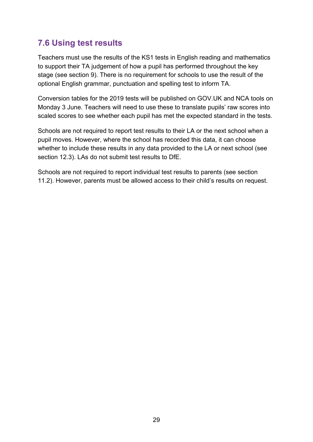# <span id="page-28-0"></span>**7.6 Using test results**

Teachers must use the results of the KS1 tests in English reading and mathematics to support their TA judgement of how a pupil has performed throughout the key stage (see section 9). There is no requirement for schools to use the result of the optional English grammar, punctuation and spelling test to inform TA.

Conversion tables for the 2019 tests will be published on GOV.UK and NCA tools on Monday 3 June. Teachers will need to use these to translate pupils' raw scores into scaled scores to see whether each pupil has met the expected standard in the tests.

Schools are not required to report test results to their LA or the next school when a pupil moves. However, where the school has recorded this data, it can choose whether to include these results in any data provided to the LA or next school (see section 12.3). LAs do not submit test results to DfE.

Schools are not required to report individual test results to parents (see section 11.2). However, parents must be allowed access to their child's results on request.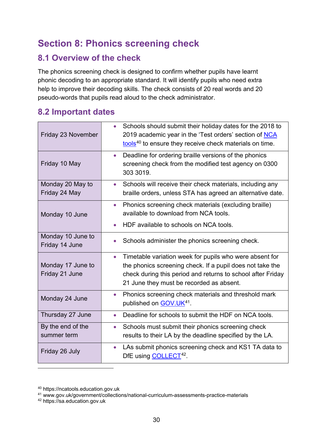# <span id="page-29-0"></span>**Section 8: Phonics screening check**

# <span id="page-29-1"></span>**8.1 Overview of the check**

The phonics screening check is designed to confirm whether pupils have learnt phonic decoding to an appropriate standard. It will identify pupils who need extra help to improve their decoding skills. The check consists of 20 real words and 20 pseudo-words that pupils read aloud to the check administrator.

## <span id="page-29-2"></span>**8.2 Important dates**

| Friday 23 November                  | Schools should submit their holiday dates for the 2018 to<br>2019 academic year in the 'Test orders' section of NCA<br>tools <sup>40</sup> to ensure they receive check materials on time.                                                   |
|-------------------------------------|----------------------------------------------------------------------------------------------------------------------------------------------------------------------------------------------------------------------------------------------|
| Friday 10 May                       | Deadline for ordering braille versions of the phonics<br>$\bullet$<br>screening check from the modified test agency on 0300<br>303 3019.                                                                                                     |
| Monday 20 May to<br>Friday 24 May   | Schools will receive their check materials, including any<br>$\bullet$<br>braille orders, unless STA has agreed an alternative date.                                                                                                         |
| Monday 10 June                      | Phonics screening check materials (excluding braille)<br>$\bullet$<br>available to download from NCA tools.                                                                                                                                  |
|                                     | HDF available to schools on NCA tools.<br>$\bullet$                                                                                                                                                                                          |
| Monday 10 June to<br>Friday 14 June | Schools administer the phonics screening check.<br>$\bullet$                                                                                                                                                                                 |
| Monday 17 June to<br>Friday 21 June | Timetable variation week for pupils who were absent for<br>$\bullet$<br>the phonics screening check. If a pupil does not take the<br>check during this period and returns to school after Friday<br>21 June they must be recorded as absent. |
| Monday 24 June                      | Phonics screening check materials and threshold mark<br>$\bullet$<br>published on GOV.UK <sup>41</sup> .                                                                                                                                     |
| Thursday 27 June                    | Deadline for schools to submit the HDF on NCA tools.<br>$\bullet$                                                                                                                                                                            |
| By the end of the<br>summer term    | Schools must submit their phonics screening check<br>$\bullet$<br>results to their LA by the deadline specified by the LA.                                                                                                                   |
| Friday 26 July                      | LAs submit phonics screening check and KS1 TA data to<br>$\bullet$<br>DfE using COLLECT <sup>42</sup> .                                                                                                                                      |

<sup>40</sup> https://ncatools.education.gov.uk

<span id="page-29-4"></span><span id="page-29-3"></span><sup>41</sup> www.gov.uk/government/collections/national-curriculum-assessments-practice-materials

<span id="page-29-5"></span><sup>42</sup> https://sa.education.gov.uk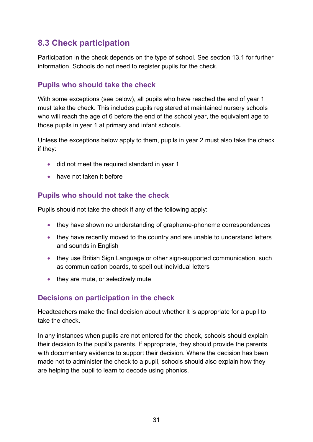# <span id="page-30-0"></span>**8.3 Check participation**

Participation in the check depends on the type of school. See section 13.1 for further information. Schools do not need to register pupils for the check.

## **Pupils who should take the check**

With some exceptions (see below), all pupils who have reached the end of year 1 must take the check. This includes pupils registered at maintained nursery schools who will reach the age of 6 before the end of the school year, the equivalent age to those pupils in year 1 at primary and infant schools.

Unless the exceptions below apply to them, pupils in year 2 must also take the check if they:

- did not meet the required standard in year 1
- have not taken it before

## **Pupils who should not take the check**

Pupils should not take the check if any of the following apply:

- they have shown no understanding of grapheme-phoneme correspondences
- they have recently moved to the country and are unable to understand letters and sounds in English
- they use British Sign Language or other sign-supported communication, such as communication boards, to spell out individual letters
- they are mute, or selectively mute

## **Decisions on participation in the check**

Headteachers make the final decision about whether it is appropriate for a pupil to take the check.

In any instances when pupils are not entered for the check, schools should explain their decision to the pupil's parents. If appropriate, they should provide the parents with documentary evidence to support their decision. Where the decision has been made not to administer the check to a pupil, schools should also explain how they are helping the pupil to learn to decode using phonics.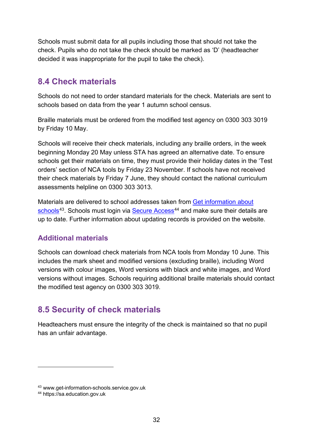Schools must submit data for all pupils including those that should not take the check. Pupils who do not take the check should be marked as 'D' (headteacher decided it was inappropriate for the pupil to take the check).

# <span id="page-31-0"></span>**8.4 Check materials**

Schools do not need to order standard materials for the check. Materials are sent to schools based on data from the year 1 autumn school census.

Braille materials must be ordered from the modified test agency on 0300 303 3019 by Friday 10 May.

Schools will receive their check materials, including any braille orders, in the week beginning Monday 20 May unless STA has agreed an alternative date. To ensure schools get their materials on time, they must provide their holiday dates in the 'Test orders' section of NCA tools by Friday 23 November. If schools have not received their check materials by Friday 7 June, they should contact the national curriculum assessments helpline on 0300 303 3013.

Materials are delivered to school addresses taken from [Get information about](https://www.get-information-schools.service.gov.uk/)  [schools](https://www.get-information-schools.service.gov.uk/)<sup>[43](#page-31-2)</sup>. Schools must login via [Secure Access](https://sa.education.gov.uk/)<sup>[44](#page-31-3)</sup> and make sure their details are up to date. Further information about updating records is provided on the website.

## **Additional materials**

Schools can download check materials from NCA tools from Monday 10 June. This includes the mark sheet and modified versions (excluding braille), including Word versions with colour images, Word versions with black and white images, and Word versions without images. Schools requiring additional braille materials should contact the modified test agency on 0300 303 3019.

# <span id="page-31-1"></span>**8.5 Security of check materials**

Headteachers must ensure the integrity of the check is maintained so that no pupil has an unfair advantage.

<span id="page-31-2"></span><sup>43</sup> www.get-information-schools.service.gov.uk

<span id="page-31-3"></span><sup>44</sup> https://sa.education.gov.uk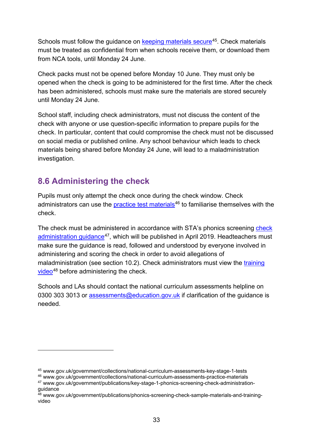Schools must follow the quidance on [keeping materials secure](https://www.gov.uk/government/collections/national-curriculum-assessments-key-stage-1-tests)<sup>45</sup>. Check materials must be treated as confidential from when schools receive them, or download them from NCA tools, until Monday 24 June.

Check packs must not be opened before Monday 10 June. They must only be opened when the check is going to be administered for the first time. After the check has been administered, schools must make sure the materials are stored securely until Monday 24 June.

School staff, including check administrators, must not discuss the content of the check with anyone or use question-specific information to prepare pupils for the check. In particular, content that could compromise the check must not be discussed on social media or published online. Any school behaviour which leads to check materials being shared before Monday 24 June, will lead to a maladministration investigation.

# <span id="page-32-0"></span>**8.6 Administering the check**

-

Pupils must only attempt the check once during the check window. Check administrators can use the [practice test materials](https://www.gov.uk/government/collections/national-curriculum-assessments-practice-materials)<sup>[46](#page-32-2)</sup> to familiarise themselves with the check.

The check must be administered in accordance with STA's phonics screening [check](https://www.gov.uk/government/publications/key-stage-1-phonics-screening-check-administration-guidance)  [administration guidance](https://www.gov.uk/government/publications/key-stage-1-phonics-screening-check-administration-guidance)<sup>[47](#page-32-3)</sup>, which will be published in April 2019. Headteachers must make sure the guidance is read, followed and understood by everyone involved in administering and scoring the check in order to avoid allegations of maladministration (see section 10.2). Check administrators must view the training [video](https://www.gov.uk/government/publications/phonics-screening-check-sample-materials-and-training-video)<sup>[48](#page-32-4)</sup> before administering the check.

Schools and LAs should contact the national curriculum assessments helpline on 0300 303 3013 or [assessments@education.gov.uk](mailto:assessments@education.gov.uk) if clarification of the guidance is needed.

<span id="page-32-1"></span><sup>45</sup> www.gov.uk/government/collections/national-curriculum-assessments-key-stage-1-tests

<span id="page-32-2"></span><sup>46</sup> www.gov.uk/government/collections/national-curriculum-assessments-practice-materials <sup>47</sup> www.gov.uk/government/publications/key-stage-1-phonics-screening-check-administration-

<span id="page-32-3"></span>guidance  $^{48}$  www.gov.uk/government/publications/phonics-screening-check-sample-materials-and-training-

<span id="page-32-4"></span>video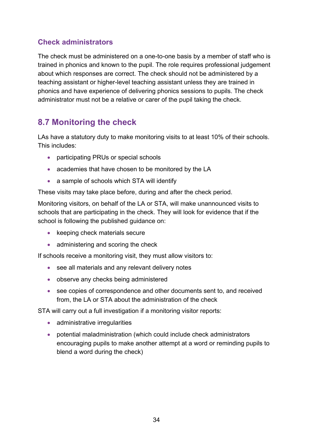## **Check administrators**

The check must be administered on a one-to-one basis by a member of staff who is trained in phonics and known to the pupil. The role requires professional judgement about which responses are correct. The check should not be administered by a teaching assistant or higher-level teaching assistant unless they are trained in phonics and have experience of delivering phonics sessions to pupils. The check administrator must not be a relative or carer of the pupil taking the check.

## <span id="page-33-0"></span>**8.7 Monitoring the check**

LAs have a statutory duty to make monitoring visits to at least 10% of their schools. This includes:

- participating PRUs or special schools
- academies that have chosen to be monitored by the LA
- a sample of schools which STA will identify

These visits may take place before, during and after the check period.

Monitoring visitors, on behalf of the LA or STA, will make unannounced visits to schools that are participating in the check. They will look for evidence that if the school is following the published guidance on:

- keeping check materials secure
- administering and scoring the check

If schools receive a monitoring visit, they must allow visitors to:

- see all materials and any relevant delivery notes
- observe any checks being administered
- see copies of correspondence and other documents sent to, and received from, the LA or STA about the administration of the check

STA will carry out a full investigation if a monitoring visitor reports:

- administrative irregularities
- potential maladministration (which could include check administrators encouraging pupils to make another attempt at a word or reminding pupils to blend a word during the check)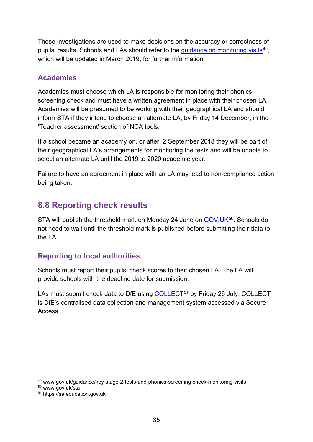These investigations are used to make decisions on the accuracy or correctness of pupils' results. Schools and LAs should refer to the quidance on monitoring visits<sup>[49](#page-34-1)</sup>. which will be updated in March 2019, for further information.

## **Academies**

Academies must choose which LA is responsible for monitoring their phonics screening check and must have a written agreement in place with their chosen LA. Academies will be presumed to be working with their geographical LA and should inform STA if they intend to choose an alternate LA, by Friday 14 December, in the 'Teacher assessment' section of NCA tools.

If a school became an academy on, or after, 2 September 2018 they will be part of their geographical LA's arrangements for monitoring the tests and will be unable to select an alternate LA until the 2019 to 2020 academic year.

Failure to have an agreement in place with an LA may lead to non-compliance action being taken.

# <span id="page-34-0"></span>**8.8 Reporting check results**

STA will publish the threshold mark on Monday 24 June on [GOV.UK](https://www.gov.uk/government/organisations/standards-and-testing-agency)<sup>[50](#page-34-2)</sup>. Schools do not need to wait until the threshold mark is published before submitting their data to the LA.

## **Reporting to local authorities**

Schools must report their pupils' check scores to their chosen LA. The LA will provide schools with the deadline date for submission.

LAs must submit check data to DfE using [COLLECT](https://sa.education.gov.uk/)<sup>[51](#page-34-3)</sup> by Friday 26 July. COLLECT is DfE's centralised data collection and management system accessed via Secure Access.

<span id="page-34-1"></span><sup>49</sup> www.gov.uk/guidance/key-stage-2-tests-and-phonics-screening-check-monitoring-visits

<span id="page-34-2"></span><sup>50</sup> www.gov.uk/sta

<span id="page-34-3"></span><sup>51</sup> https://sa.education.gov.uk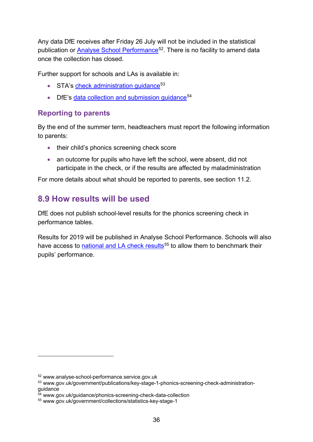Any data DfE receives after Friday 26 July will not be included in the statistical publication or [Analyse School Performance](http://www.analyse-school-performance.service.gov.uk/)<sup>52</sup>. There is no facility to amend data once the collection has closed.

Further support for schools and LAs is available in:

- STA's check administration quidance<sup>[53](#page-35-2)</sup>
- $\bullet$  DfE's data collection and submission quidance<sup>[54](#page-35-3)</sup>

## **Reporting to parents**

By the end of the summer term, headteachers must report the following information to parents:

- their child's phonics screening check score
- an outcome for pupils who have left the school, were absent, did not participate in the check, or if the results are affected by maladministration

For more details about what should be reported to parents, see section 11.2.

## <span id="page-35-0"></span>**8.9 How results will be used**

DfE does not publish school-level results for the phonics screening check in performance tables.

Results for 2019 will be published in Analyse School Performance. Schools will also have access to [national and LA check results](https://www.gov.uk/government/collections/statistics-key-stage-1)<sup>[55](#page-35-4)</sup> to allow them to benchmark their pupils' performance.

<span id="page-35-1"></span><sup>52</sup> www.analyse-school-performance.service.gov.uk

<span id="page-35-2"></span><sup>53</sup> www.gov.uk/government/publications/key-stage-1-phonics-screening-check-administrationguidance

 $54$  www.gov.uk/guidance/phonics-screening-check-data-collection

<span id="page-35-4"></span><span id="page-35-3"></span><sup>55</sup> www.gov.uk/government/collections/statistics-key-stage-1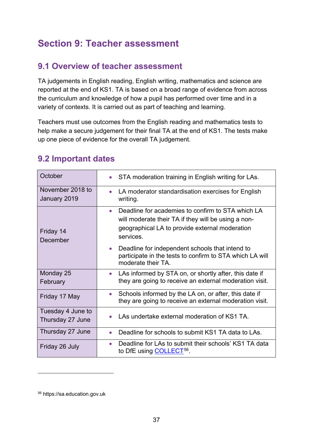# <span id="page-36-0"></span>**Section 9: Teacher assessment**

## <span id="page-36-1"></span>**9.1 Overview of teacher assessment**

TA judgements in English reading, English writing, mathematics and science are reported at the end of KS1. TA is based on a broad range of evidence from across the curriculum and knowledge of how a pupil has performed over time and in a variety of contexts. It is carried out as part of teaching and learning.

Teachers must use outcomes from the English reading and mathematics tests to help make a secure judgement for their final TA at the end of KS1. The tests make up one piece of evidence for the overall TA judgement.

| October                               | STA moderation training in English writing for LAs.                                                                                                                                  |
|---------------------------------------|--------------------------------------------------------------------------------------------------------------------------------------------------------------------------------------|
| November 2018 to<br>January 2019      | LA moderator standardisation exercises for English<br>$\bullet$<br>writing.                                                                                                          |
| Friday 14<br>December                 | Deadline for academies to confirm to STA which LA<br>$\bullet$<br>will moderate their TA if they will be using a non-<br>geographical LA to provide external moderation<br>services. |
|                                       | Deadline for independent schools that intend to<br>participate in the tests to confirm to STA which LA will<br>moderate their TA.                                                    |
| Monday 25<br>February                 | LAs informed by STA on, or shortly after, this date if<br>$\bullet$<br>they are going to receive an external moderation visit.                                                       |
| Friday 17 May                         | Schools informed by the LA on, or after, this date if<br>they are going to receive an external moderation visit.                                                                     |
| Tuesday 4 June to<br>Thursday 27 June | LAs undertake external moderation of KS1 TA.                                                                                                                                         |
| Thursday 27 June                      | Deadline for schools to submit KS1 TA data to LAs.<br>$\bullet$                                                                                                                      |
| Friday 26 July                        | Deadline for LAs to submit their schools' KS1 TA data<br>$\bullet$<br>to DfE using COLLECT <sup>56</sup> .                                                                           |

# <span id="page-36-2"></span>**9.2 Important dates**

<span id="page-36-3"></span><sup>56</sup> https://sa.education.gov.uk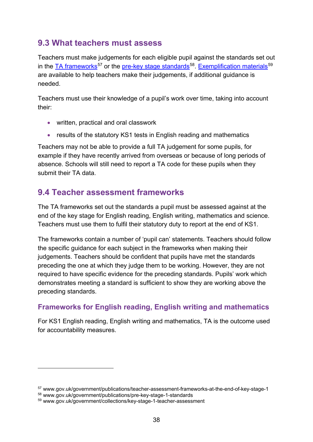## <span id="page-37-0"></span>**9.3 What teachers must assess**

Teachers must make judgements for each eligible pupil against the standards set out in the TA [frameworks](https://www.gov.uk/government/publications/teacher-assessment-frameworks-at-the-end-of-key-stage-1)<sup>[57](#page-37-2)</sup> or the [pre-key stage standards](https://www.gov.uk/government/publications/pre-key-stage-1-standards)<sup>[58](#page-37-3)</sup>. [Exemplification materials](https://www.gov.uk/government/collections/key-stage-1-teacher-assessment)<sup>[59](#page-37-4)</sup> are available to help teachers make their judgements, if additional guidance is needed.

Teachers must use their knowledge of a pupil's work over time, taking into account their:

- written, practical and oral classwork
- results of the statutory KS1 tests in English reading and mathematics

Teachers may not be able to provide a full TA judgement for some pupils, for example if they have recently arrived from overseas or because of long periods of absence. Schools will still need to report a TA code for these pupils when they submit their TA data.

## <span id="page-37-1"></span>**9.4 Teacher assessment frameworks**

The TA frameworks set out the standards a pupil must be assessed against at the end of the key stage for English reading, English writing, mathematics and science. Teachers must use them to fulfil their statutory duty to report at the end of KS1.

The frameworks contain a number of 'pupil can' statements. Teachers should follow the specific guidance for each subject in the frameworks when making their judgements. Teachers should be confident that pupils have met the standards preceding the one at which they judge them to be working. However, they are not required to have specific evidence for the preceding standards. Pupils' work which demonstrates meeting a standard is sufficient to show they are working above the preceding standards.

## **Frameworks for English reading, English writing and mathematics**

For KS1 English reading, English writing and mathematics, TA is the outcome used for accountability measures.

<span id="page-37-2"></span><sup>57</sup> www.gov.uk/government/publications/teacher-assessment-frameworks-at-the-end-of-key-stage-1

<sup>58</sup> www.gov.uk/government/publications/pre-key-stage-1-standards

<span id="page-37-4"></span><span id="page-37-3"></span><sup>59</sup> www.gov.uk/government/collections/key-stage-1-teacher-assessment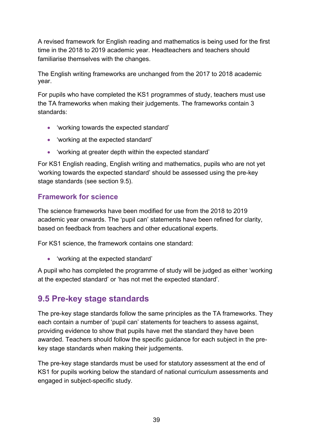A revised framework for English reading and mathematics is being used for the first time in the 2018 to 2019 academic year. Headteachers and teachers should familiarise themselves with the changes.

The English writing frameworks are unchanged from the 2017 to 2018 academic year.

For pupils who have completed the KS1 programmes of study, teachers must use the TA frameworks when making their judgements. The frameworks contain 3 standards:

- 'working towards the expected standard'
- 'working at the expected standard'
- 'working at greater depth within the expected standard'

For KS1 English reading, English writing and mathematics, pupils who are not yet 'working towards the expected standard' should be assessed using the pre-key stage standards (see section 9.5).

## **Framework for science**

The science frameworks have been modified for use from the 2018 to 2019 academic year onwards. The 'pupil can' statements have been refined for clarity, based on feedback from teachers and other educational experts.

For KS1 science, the framework contains one standard:

• *'working at the expected standard'* 

A pupil who has completed the programme of study will be judged as either 'working at the expected standard' or 'has not met the expected standard'.

# <span id="page-38-0"></span>**9.5 Pre-key stage standards**

The pre-key stage standards follow the same principles as the TA frameworks. They each contain a number of 'pupil can' statements for teachers to assess against, providing evidence to show that pupils have met the standard they have been awarded. Teachers should follow the specific guidance for each subject in the prekey stage standards when making their judgements.

The pre-key stage standards must be used for statutory assessment at the end of KS1 for pupils working below the standard of national curriculum assessments and engaged in subject-specific study.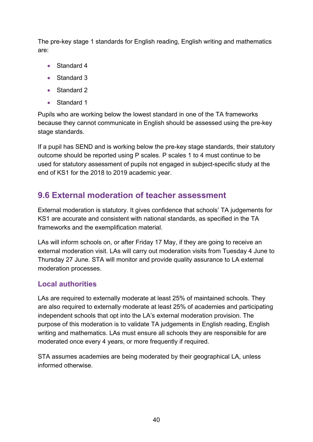The pre-key stage 1 standards for English reading, English writing and mathematics are:

- Standard 4
- Standard 3
- Standard 2
- Standard 1

Pupils who are working below the lowest standard in one of the TA frameworks because they cannot communicate in English should be assessed using the pre-key stage standards.

If a pupil has SEND and is working below the pre-key stage standards, their statutory outcome should be reported using P scales. P scales 1 to 4 must continue to be used for statutory assessment of pupils not engaged in subject-specific study at the end of KS1 for the 2018 to 2019 academic year.

# <span id="page-39-0"></span>**9.6 External moderation of teacher assessment**

External moderation is statutory. It gives confidence that schools' TA judgements for KS1 are accurate and consistent with national standards, as specified in the TA frameworks and the exemplification material.

LAs will inform schools on, or after Friday 17 May, if they are going to receive an external moderation visit. LAs will carry out moderation visits from Tuesday 4 June to Thursday 27 June. STA will monitor and provide quality assurance to LA external moderation processes.

## **Local authorities**

LAs are required to externally moderate at least 25% of maintained schools. They are also required to externally moderate at least 25% of academies and participating independent schools that opt into the LA's external moderation provision. The purpose of this moderation is to validate TA judgements in English reading, English writing and mathematics. LAs must ensure all schools they are responsible for are moderated once every 4 years, or more frequently if required.

STA assumes academies are being moderated by their geographical LA, unless informed otherwise.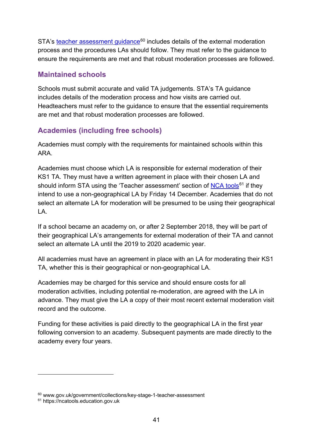STA's [teacher assessment guidance](http://www.gov.uk/government/collections/key-stage-1-teacher-assessment)<sup>[60](#page-40-0)</sup> includes details of the external moderation process and the procedures LAs should follow. They must refer to the guidance to ensure the requirements are met and that robust moderation processes are followed.

#### **Maintained schools**

Schools must submit accurate and valid TA judgements. STA's TA guidance includes details of the moderation process and how visits are carried out. Headteachers must refer to the guidance to ensure that the essential requirements are met and that robust moderation processes are followed.

## **Academies (including free schools)**

Academies must comply with the requirements for maintained schools within this ARA.

Academies must choose which LA is responsible for external moderation of their KS1 TA. They must have a written agreement in place with their chosen LA and should inform STA using the 'Teacher assessment' section of [NCA tools](https://ncatools.education.gov.uk/)<sup>[61](#page-40-1)</sup> if they intend to use a non-geographical LA by Friday 14 December. Academies that do not select an alternate LA for moderation will be presumed to be using their geographical LA.

If a school became an academy on, or after 2 September 2018, they will be part of their geographical LA's arrangements for external moderation of their TA and cannot select an alternate LA until the 2019 to 2020 academic year.

All academies must have an agreement in place with an LA for moderating their KS1 TA, whether this is their geographical or non-geographical LA.

Academies may be charged for this service and should ensure costs for all moderation activities, including potential re-moderation, are agreed with the LA in advance. They must give the LA a copy of their most recent external moderation visit record and the outcome.

Funding for these activities is paid directly to the geographical LA in the first year following conversion to an academy. Subsequent payments are made directly to the academy every four years.

<span id="page-40-0"></span><sup>60</sup> www.gov.uk/government/collections/key-stage-1-teacher-assessment

<span id="page-40-1"></span><sup>61</sup> https://ncatools.education.gov.uk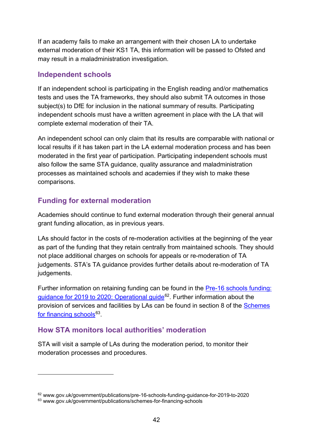If an academy fails to make an arrangement with their chosen LA to undertake external moderation of their KS1 TA, this information will be passed to Ofsted and may result in a maladministration investigation.

#### **Independent schools**

If an independent school is participating in the English reading and/or mathematics tests and uses the TA frameworks, they should also submit TA outcomes in those subject(s) to DfE for inclusion in the national summary of results. Participating independent schools must have a written agreement in place with the LA that will complete external moderation of their TA.

An independent school can only claim that its results are comparable with national or local results if it has taken part in the LA external moderation process and has been moderated in the first year of participation. Participating independent schools must also follow the same STA guidance, quality assurance and maladministration processes as maintained schools and academies if they wish to make these comparisons.

## **Funding for external moderation**

Academies should continue to fund external moderation through their general annual grant funding allocation, as in previous years.

LAs should factor in the costs of re-moderation activities at the beginning of the year as part of the funding that they retain centrally from maintained schools. They should not place additional charges on schools for appeals or re-moderation of TA judgements. STA's TA guidance provides further details about re-moderation of TA judgements.

Further information on retaining funding can be found in the [Pre-16 schools funding:](http://www.gov.uk/government/publications/pre-16-schools-funding-guidance-for-2019-to-2020)  [guidance for 2019 to 2020: Operational guide](http://www.gov.uk/government/publications/pre-16-schools-funding-guidance-for-2019-to-2020)[62](#page-41-0). Further information about the provision of services and facilities by LAs can be found in section 8 of the **Schemes** [for financing schools](https://www.gov.uk/government/publications/schemes-for-financing-schools)<sup>63</sup>.

## **How STA monitors local authorities' moderation**

STA will visit a sample of LAs during the moderation period, to monitor their moderation processes and procedures.

<span id="page-41-0"></span><sup>62.</sup>www.gov.uk/government/publications/pre-16-schools-funding-guidance-for-2019-to-2020

<span id="page-41-1"></span><sup>63</sup> www.gov.uk/government/publications/schemes-for-financing-schools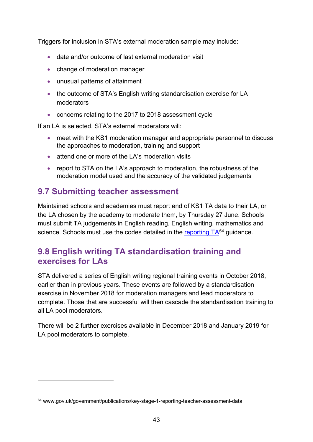Triggers for inclusion in STA's external moderation sample may include:

- date and/or outcome of last external moderation visit
- change of moderation manager
- unusual patterns of attainment
- the outcome of STA's English writing standardisation exercise for LA moderators
- concerns relating to the 2017 to 2018 assessment cycle

If an LA is selected, STA's external moderators will:

- meet with the KS1 moderation manager and appropriate personnel to discuss the approaches to moderation, training and support
- attend one or more of the LA's moderation visits
- report to STA on the LA's approach to moderation, the robustness of the moderation model used and the accuracy of the validated judgements

# <span id="page-42-0"></span>**9.7 Submitting teacher assessment**

Maintained schools and academies must report end of KS1 TA data to their LA, or the LA chosen by the academy to moderate them, by Thursday 27 June. Schools must submit TA judgements in English reading, English writing, mathematics and science. Schools must use the codes detailed in the reporting  $TA^{64}$  $TA^{64}$  $TA^{64}$  guidance.

# <span id="page-42-1"></span>**9.8 English writing TA standardisation training and exercises for LAs**

STA delivered a series of English writing regional training events in October 2018, earlier than in previous years. These events are followed by a standardisation exercise in November 2018 for moderation managers and lead moderators to complete. Those that are successful will then cascade the standardisation training to all LA pool moderators.

There will be 2 further exercises available in December 2018 and January 2019 for LA pool moderators to complete.

<span id="page-42-2"></span><sup>64</sup> www.gov.uk/government/publications/key-stage-1-reporting-teacher-assessment-data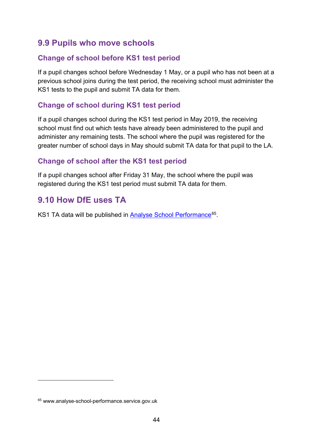## <span id="page-43-0"></span>**9.9 Pupils who move schools**

## **Change of school before KS1 test period**

If a pupil changes school before Wednesday 1 May, or a pupil who has not been at a previous school joins during the test period, the receiving school must administer the KS1 tests to the pupil and submit TA data for them.

## **Change of school during KS1 test period**

If a pupil changes school during the KS1 test period in May 2019, the receiving school must find out which tests have already been administered to the pupil and administer any remaining tests. The school where the pupil was registered for the greater number of school days in May should submit TA data for that pupil to the LA.

## **Change of school after the KS1 test period**

If a pupil changes school after Friday 31 May, the school where the pupil was registered during the KS1 test period must submit TA data for them.

# <span id="page-43-1"></span>**9.10 How DfE uses TA**

KS1 TA data will be published in [Analyse School Pe](http://www.analyse-school-performance.service.gov.uk/)rformance<sup>65</sup>.

<span id="page-43-2"></span><sup>65</sup> www.analyse-school-performance.service.gov.uk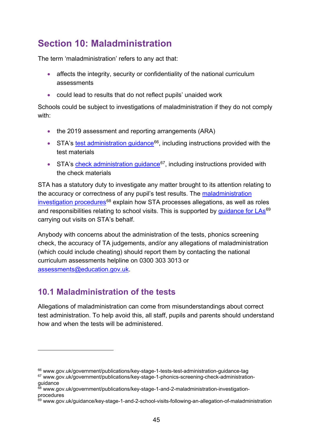# <span id="page-44-0"></span>**Section 10: Maladministration**

The term 'maladministration' refers to any act that:

- affects the integrity, security or confidentiality of the national curriculum assessments
- could lead to results that do not reflect pupils' unaided work

Schools could be subject to investigations of maladministration if they do not comply with:

- the 2019 assessment and reporting arrangements (ARA)
- STA's [test administration guidance](https://www.gov.uk/government/publications/key-stage-1-tests-test-administration-guidance-tag)<sup>[66](#page-44-2)</sup>, including instructions provided with the test materials
- STA's check administration quidance<sup>[67](#page-44-3)</sup>, including instructions provided with the check materials

STA has a statutory duty to investigate any matter brought to its attention relating to the accuracy or correctness of any pupil's test results. The [maladministration](https://www.gov.uk/government/publications/key-stage-1-and-2-maladministration-investigation-procedures)  [investigation procedures](https://www.gov.uk/government/publications/key-stage-1-and-2-maladministration-investigation-procedures)<sup>[68](#page-44-4)</sup> explain how STA processes allegations, as well as roles and responsibilities relating to school visits. This is supported by quidance for LAs<sup>[69](#page-44-5)</sup> carrying out visits on STA's behalf.

Anybody with concerns about the administration of the tests, phonics screening check, the accuracy of TA judgements, and/or any allegations of maladministration (which could include cheating) should report them by contacting the national curriculum assessments helpline on 0300 303 3013 or [assessments@education.gov.uk.](mailto:assessments@education.gov.uk)

# <span id="page-44-1"></span>**10.1 Maladministration of the tests**

-

Allegations of maladministration can come from misunderstandings about correct test administration. To help avoid this, all staff, pupils and parents should understand how and when the tests will be administered.

<span id="page-44-2"></span><sup>66</sup> www.gov.uk/government/publications/key-stage-1-tests-test-administration-guidance-tag

<span id="page-44-3"></span><sup>&</sup>lt;sup>67</sup> www.gov.uk/government/publications/key-stage-1-phonics-screening-check-administrationguidance

<span id="page-44-4"></span><sup>&</sup>lt;sup>68</sup> www.gov.uk/government/publications/kev-stage-1-and-2-maladministration-investigationprocedures

<span id="page-44-5"></span><sup>&</sup>lt;sup>69</sup> www.gov.uk/guidance/key-stage-1-and-2-school-visits-following-an-allegation-of-maladministration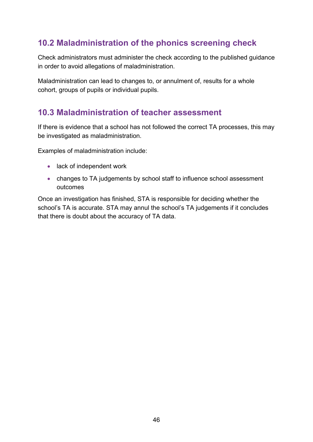## <span id="page-45-0"></span>**10.2 Maladministration of the phonics screening check**

Check administrators must administer the check according to the published guidance in order to avoid allegations of maladministration.

Maladministration can lead to changes to, or annulment of, results for a whole cohort, groups of pupils or individual pupils.

## <span id="page-45-1"></span>**10.3 Maladministration of teacher assessment**

If there is evidence that a school has not followed the correct TA processes, this may be investigated as maladministration.

Examples of maladministration include:

- lack of independent work
- changes to TA judgements by school staff to influence school assessment outcomes

Once an investigation has finished, STA is responsible for deciding whether the school's TA is accurate. STA may annul the school's TA judgements if it concludes that there is doubt about the accuracy of TA data.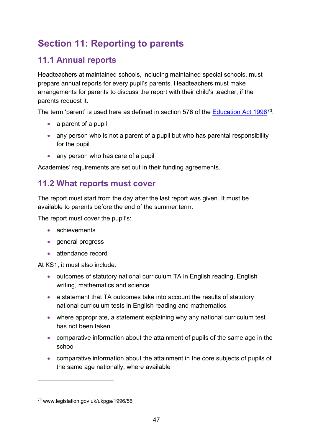# <span id="page-46-0"></span>**Section 11: Reporting to parents**

# <span id="page-46-1"></span>**11.1 Annual reports**

Headteachers at maintained schools, including maintained special schools, must prepare annual reports for every pupil's parents. Headteachers must make arrangements for parents to discuss the report with their child's teacher, if the parents request it.

The term 'parent' is used here as defined in section 576 of the [Education Act 1996](http://www.legislation.gov.uk/ukpga/1996/56)<sup>70</sup>:

- a parent of a pupil
- any person who is not a parent of a pupil but who has parental responsibility for the pupil
- any person who has care of a pupil

Academies' requirements are set out in their funding agreements.

## <span id="page-46-2"></span>**11.2 What reports must cover**

The report must start from the day after the last report was given. It must be available to parents before the end of the summer term.

The report must cover the pupil's:

- achievements
- general progress
- attendance record

At KS1, it must also include:

- outcomes of statutory national curriculum TA in English reading, English writing, mathematics and science
- a statement that TA outcomes take into account the results of statutory national curriculum tests in English reading and mathematics
- where appropriate, a statement explaining why any national curriculum test has not been taken
- comparative information about the attainment of pupils of the same age in the school
- comparative information about the attainment in the core subjects of pupils of the same age nationally, where available

<span id="page-46-3"></span><sup>70</sup> www.legislation.gov.uk/ukpga/1996/56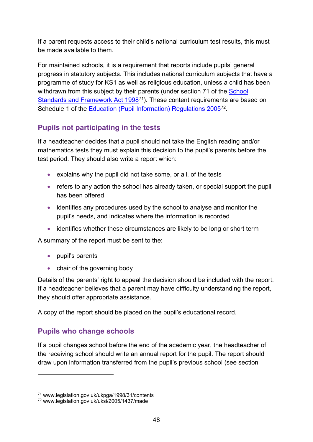If a parent requests access to their child's national curriculum test results, this must be made available to them.

For maintained schools, it is a requirement that reports include pupils' general progress in statutory subjects. This includes national curriculum subjects that have a programme of study for KS1 as well as religious education, unless a child has been withdrawn from this subject by their parents (under section 71 of the School [Standards and Framework Act 1998](http://www.legislation.gov.uk/ukpga/1998/31/contents)<sup>[71](#page-47-0)</sup>). These content requirements are based on Schedule 1 of the [Education \(Pupil Information\) Regulations 2005](http://www.legislation.gov.uk/uksi/2005/1437/made)<sup>72</sup>.

## **Pupils not participating in the tests**

If a headteacher decides that a pupil should not take the English reading and/or mathematics tests they must explain this decision to the pupil's parents before the test period. They should also write a report which:

- explains why the pupil did not take some, or all, of the tests
- refers to any action the school has already taken, or special support the pupil has been offered
- identifies any procedures used by the school to analyse and monitor the pupil's needs, and indicates where the information is recorded
- identifies whether these circumstances are likely to be long or short term

A summary of the report must be sent to the:

- pupil's parents
- chair of the governing body

Details of the parents' right to appeal the decision should be included with the report. If a headteacher believes that a parent may have difficulty understanding the report, they should offer appropriate assistance.

A copy of the report should be placed on the pupil's educational record.

## **Pupils who change schools**

-

If a pupil changes school before the end of the academic year, the headteacher of the receiving school should write an annual report for the pupil. The report should draw upon information transferred from the pupil's previous school (see section

<span id="page-47-0"></span><sup>71</sup> www.legislation.gov.uk/ukpga/1998/31/contents

<span id="page-47-1"></span><sup>72</sup> www.legislation.gov.uk/uksi/2005/1437/made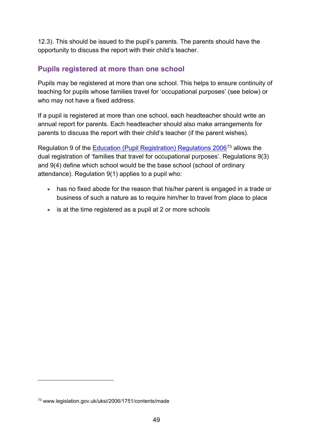12.3). This should be issued to the pupil's parents. The parents should have the opportunity to discuss the report with their child's teacher.

## **Pupils registered at more than one school**

Pupils may be registered at more than one school. This helps to ensure continuity of teaching for pupils whose families travel for 'occupational purposes' (see below) or who may not have a fixed address.

If a pupil is registered at more than one school, each headteacher should write an annual report for parents. Each headteacher should also make arrangements for parents to discuss the report with their child's teacher (if the parent wishes).

Regulation 9 of the [Education \(Pupil Registration\) Regulations 2006](http://www.legislation.gov.uk/uksi/2006/1751/contents/made)[73](#page-48-0) allows the dual registration of 'families that travel for occupational purposes'. Regulations 9(3) and 9(4) define which school would be the base school (school of ordinary attendance). Regulation 9(1) applies to a pupil who:

- has no fixed abode for the reason that his/her parent is engaged in a trade or business of such a nature as to require him/her to travel from place to place
- is at the time registered as a pupil at 2 or more schools

<span id="page-48-0"></span><sup>73</sup> www.legislation.gov.uk/uksi/2006/1751/contents/made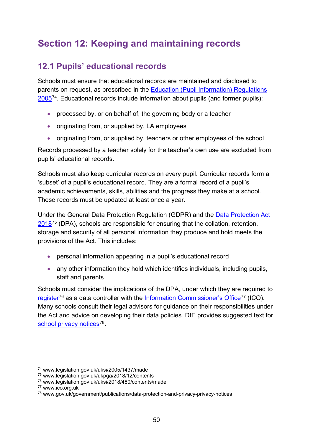# <span id="page-49-0"></span>**Section 12: Keeping and maintaining records**

# <span id="page-49-1"></span>**12.1 Pupils' educational records**

Schools must ensure that educational records are maintained and disclosed to parents on request, as prescribed in the [Education \(Pupil Information\) Regulations](http://www.legislation.gov.uk/uksi/2005/1437/made)  [2005](http://www.legislation.gov.uk/uksi/2005/1437/made)[74](#page-49-2). Educational records include information about pupils (and former pupils):

- processed by, or on behalf of, the governing body or a teacher
- originating from, or supplied by, LA employees
- originating from, or supplied by, teachers or other employees of the school

Records processed by a teacher solely for the teacher's own use are excluded from pupils' educational records.

Schools must also keep curricular records on every pupil. Curricular records form a 'subset' of a pupil's educational record. They are a formal record of a pupil's academic achievements, skills, abilities and the progress they make at a school. These records must be updated at least once a year.

Under the General Data Protection Regulation (GDPR) and the [Data Protection Act](http://www.legislation.gov.uk/ukpga/2018/12/contents)  [2018](http://www.legislation.gov.uk/ukpga/2018/12/contents)<sup>[75](#page-49-3)</sup> (DPA), schools are responsible for ensuring that the collation, retention, storage and security of all personal information they produce and hold meets the provisions of the Act. This includes:

- personal information appearing in a pupil's educational record
- any other information they hold which identifies individuals, including pupils, staff and parents

Schools must consider the implications of the DPA, under which they are required to [register](http://www.legislation.gov.uk/uksi/2018/480/contents/made)<sup>[76](#page-49-4)</sup> as a data controller with the [Information Commissioner's Office](http://ico.org.uk/)<sup>[77](#page-49-5)</sup> (ICO). Many schools consult their legal advisors for guidance on their responsibilities under the Act and advice on developing their data policies. DfE provides suggested text for [school privacy notices](https://www.gov.uk/government/publications/data-protection-and-privacy-privacy-notices)<sup>78</sup>.

<span id="page-49-2"></span><sup>74</sup> www.legislation.gov.uk/uksi/2005/1437/made

<span id="page-49-3"></span><sup>75</sup> www.legislation.gov.uk/ukpga/2018/12/contents

<span id="page-49-4"></span><sup>76</sup> www.legislation.gov.uk/uksi/2018/480/contents/made

<span id="page-49-5"></span><sup>77</sup> www.ico.org.uk

<span id="page-49-6"></span><sup>78</sup> www.gov.uk/government/publications/data-protection-and-privacy-privacy-notices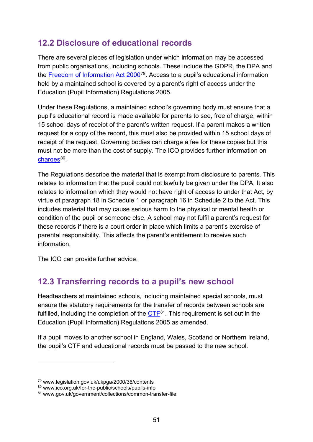# <span id="page-50-0"></span>**12.2 Disclosure of educational records**

There are several pieces of legislation under which information may be accessed from public organisations, including schools. These include the GDPR, the DPA and the [Freedom of Information Act 2000](http://www.legislation.gov.uk/ukpga/2000/36/contents)[79.](#page-50-2) Access to a pupil's educational information held by a maintained school is covered by a parent's right of access under the Education (Pupil Information) Regulations 2005.

Under these Regulations, a maintained school's governing body must ensure that a pupil's educational record is made available for parents to see, free of charge, within 15 school days of receipt of the parent's written request. If a parent makes a written request for a copy of the record, this must also be provided within 15 school days of receipt of the request. Governing bodies can charge a fee for these copies but this must not be more than the cost of supply. The ICO provides further information on  $charges<sup>80</sup>$  $charges<sup>80</sup>$  $charges<sup>80</sup>$  $charges<sup>80</sup>$ .

The Regulations describe the material that is exempt from disclosure to parents. This relates to information that the pupil could not lawfully be given under the DPA. It also relates to information which they would not have right of access to under that Act, by virtue of paragraph 18 in Schedule 1 or paragraph 16 in Schedule 2 to the Act. This includes material that may cause serious harm to the physical or mental health or condition of the pupil or someone else. A school may not fulfil a parent's request for these records if there is a court order in place which limits a parent's exercise of parental responsibility. This affects the parent's entitlement to receive such information.

The ICO can provide further advice.

# <span id="page-50-1"></span>**12.3 Transferring records to a pupil's new school**

Headteachers at maintained schools, including maintained special schools, must ensure the statutory requirements for the transfer of records between schools are fulfilled, including the completion of the  $CTF^{81}$  $CTF^{81}$  $CTF^{81}$ . This requirement is set out in the Education (Pupil Information) Regulations 2005 as amended.

If a pupil moves to another school in England, Wales, Scotland or Northern Ireland, the pupil's CTF and educational records must be passed to the new school.

<span id="page-50-2"></span><sup>79</sup> www.legislation.gov.uk/ukpga/2000/36/contents

<span id="page-50-3"></span><sup>80</sup> www.ico.org.uk/for-the-public/schools/pupils-info

<span id="page-50-4"></span><sup>81</sup> www.gov.uk/government/collections/common-transfer-file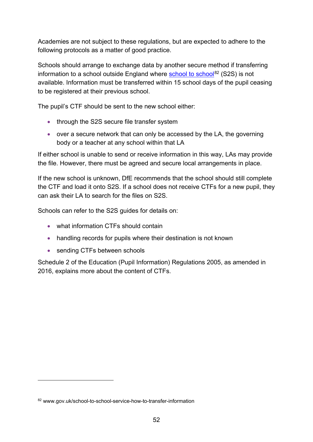Academies are not subject to these regulations, but are expected to adhere to the following protocols as a matter of good practice.

Schools should arrange to exchange data by another secure method if transferring information to a school outside England where [school to school](https://www.gov.uk/school-to-school-service-how-to-transfer-information)<sup>[82](#page-51-0)</sup> (S2S) is not available. Information must be transferred within 15 school days of the pupil ceasing to be registered at their previous school.

The pupil's CTF should be sent to the new school either:

- through the S2S secure file transfer system
- over a secure network that can only be accessed by the LA, the governing body or a teacher at any school within that LA

If either school is unable to send or receive information in this way, LAs may provide the file. However, there must be agreed and secure local arrangements in place.

If the new school is unknown, DfE recommends that the school should still complete the CTF and load it onto S2S. If a school does not receive CTFs for a new pupil, they can ask their LA to search for the files on S2S.

Schools can refer to the S2S guides for details on:

- what information CTFs should contain
- handling records for pupils where their destination is not known
- sending CTFs between schools

Schedule 2 of the Education (Pupil Information) Regulations 2005, as amended in 2016, explains more about the content of CTFs.

<span id="page-51-0"></span><sup>82</sup> www.gov.uk/school-to-school-service-how-to-transfer-information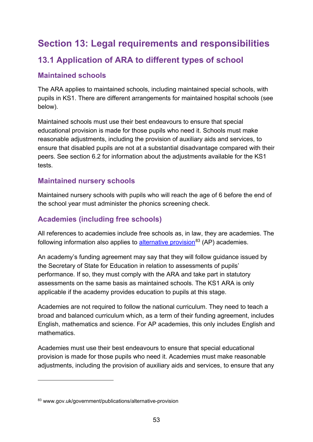# <span id="page-52-0"></span>**Section 13: Legal requirements and responsibilities**

# <span id="page-52-1"></span>**13.1 Application of ARA to different types of school**

## **Maintained schools**

The ARA applies to maintained schools, including maintained special schools, with pupils in KS1. There are different arrangements for maintained hospital schools (see below).

Maintained schools must use their best endeavours to ensure that special educational provision is made for those pupils who need it. Schools must make reasonable adjustments, including the provision of auxiliary aids and services, to ensure that disabled pupils are not at a substantial disadvantage compared with their peers. See section 6.2 for information about the adjustments available for the KS1 tests.

#### **Maintained nursery schools**

Maintained nursery schools with pupils who will reach the age of 6 before the end of the school year must administer the phonics screening check.

## **Academies (including free schools)**

All references to academies include free schools as, in law, they are academies. The following information also applies to [alternative provision](https://www.gov.uk/government/publications/alternative-provision)<sup>[83](#page-52-2)</sup> (AP) academies.

An academy's funding agreement may say that they will follow guidance issued by the Secretary of State for Education in relation to assessments of pupils' performance. If so, they must comply with the ARA and take part in statutory assessments on the same basis as maintained schools. The KS1 ARA is only applicable if the academy provides education to pupils at this stage.

Academies are not required to follow the national curriculum. They need to teach a broad and balanced curriculum which, as a term of their funding agreement, includes English, mathematics and science. For AP academies, this only includes English and mathematics.

Academies must use their best endeavours to ensure that special educational provision is made for those pupils who need it. Academies must make reasonable adjustments, including the provision of auxiliary aids and services, to ensure that any

<span id="page-52-2"></span><sup>83</sup> www.gov.uk/government/publications/alternative-provision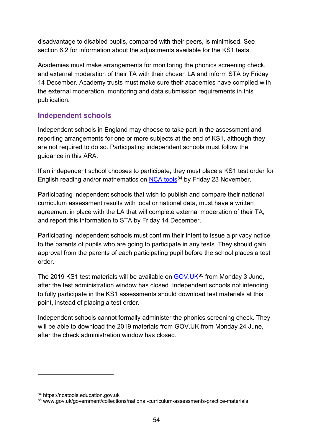disadvantage to disabled pupils, compared with their peers, is minimised. See section 6.2 for information about the adjustments available for the KS1 tests.

Academies must make arrangements for monitoring the phonics screening check, and external moderation of their TA with their chosen LA and inform STA by Friday 14 December. Academy trusts must make sure their academies have complied with the external moderation, monitoring and data submission requirements in this publication.

## **Independent schools**

Independent schools in England may choose to take part in the assessment and reporting arrangements for one or more subjects at the end of KS1, although they are not required to do so. Participating independent schools must follow the guidance in this ARA.

If an independent school chooses to participate, they must place a KS1 test order for English reading and/or mathematics on [NCA tools](https://ncatools.education.gov.uk/)<sup>[84](#page-53-0)</sup> by Friday 23 November.

Participating independent schools that wish to publish and compare their national curriculum assessment results with local or national data, must have a written agreement in place with the LA that will complete external moderation of their TA, and report this information to STA by Friday 14 December.

Participating independent schools must confirm their intent to issue a privacy notice to the parents of pupils who are going to participate in any tests. They should gain approval from the parents of each participating pupil before the school places a test order.

The 2019 KS1 test materials will be available on GOV. UK<sup>[85](#page-53-1)</sup> from Monday 3 June, after the test administration window has closed. Independent schools not intending to fully participate in the KS1 assessments should download test materials at this point, instead of placing a test order.

Independent schools cannot formally administer the phonics screening check. They will be able to download the 2019 materials from GOV.UK from Monday 24 June, after the check administration window has closed.

<span id="page-53-0"></span><sup>84</sup> https://ncatools.education.gov.uk

<span id="page-53-1"></span><sup>85</sup> www.gov.uk/government/collections/national-curriculum-assessments-practice-materials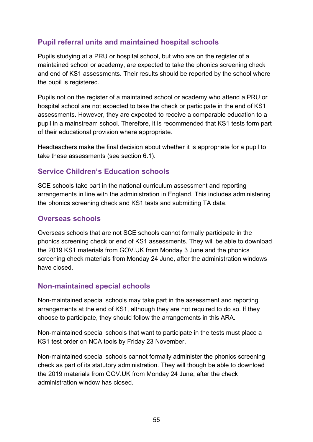## **Pupil referral units and maintained hospital schools**

Pupils studying at a PRU or hospital school, but who are on the register of a maintained school or academy, are expected to take the phonics screening check and end of KS1 assessments. Their results should be reported by the school where the pupil is registered.

Pupils not on the register of a maintained school or academy who attend a PRU or hospital school are not expected to take the check or participate in the end of KS1 assessments. However, they are expected to receive a comparable education to a pupil in a mainstream school. Therefore, it is recommended that KS1 tests form part of their educational provision where appropriate.

Headteachers make the final decision about whether it is appropriate for a pupil to take these assessments (see section 6.1).

## **Service Children's Education schools**

SCE schools take part in the national curriculum assessment and reporting arrangements in line with the administration in England. This includes administering the phonics screening check and KS1 tests and submitting TA data.

## **Overseas schools**

Overseas schools that are not SCE schools cannot formally participate in the phonics screening check or end of KS1 assessments. They will be able to download the 2019 KS1 materials from GOV.UK from Monday 3 June and the phonics screening check materials from Monday 24 June, after the administration windows have closed.

## **Non-maintained special schools**

Non-maintained special schools may take part in the assessment and reporting arrangements at the end of KS1, although they are not required to do so. If they choose to participate, they should follow the arrangements in this ARA.

Non-maintained special schools that want to participate in the tests must place a KS1 test order on NCA tools by Friday 23 November.

Non-maintained special schools cannot formally administer the phonics screening check as part of its statutory administration. They will though be able to download the 2019 materials from GOV.UK from Monday 24 June, after the check administration window has closed.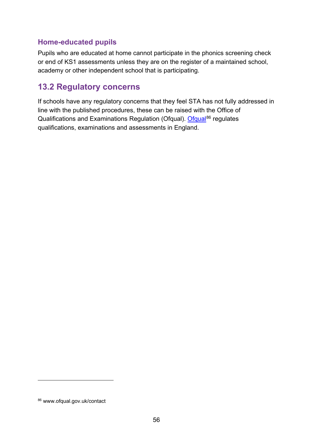## **Home-educated pupils**

Pupils who are educated at home cannot participate in the phonics screening check or end of KS1 assessments unless they are on the register of a maintained school, academy or other independent school that is participating.

## <span id="page-55-0"></span>**13.2 Regulatory concerns**

If schools have any regulatory concerns that they feel STA has not fully addressed in line with the published procedures, these can be raised with the Office of Qualifications and Examinations Regulation (Ofqual). [Ofqual](http://ofqual.gov.uk/contact)<sup>[86](#page-55-1)</sup> regulates qualifications, examinations and assessments in England.

<span id="page-55-1"></span><sup>86</sup> www.ofqual.gov.uk/contact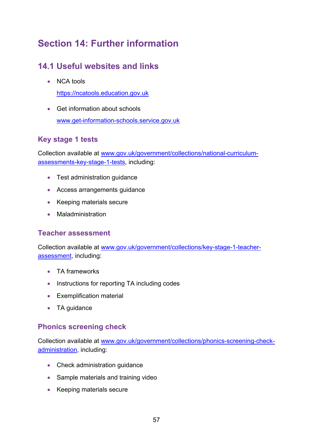# <span id="page-56-0"></span>**Section 14: Further information**

## <span id="page-56-1"></span>**14.1 Useful websites and links**

• NCA tools

[https://ncatools.education.gov.uk](https://ncatools.education.gov.uk/)

• Get information about schools [www.get-information-schools.service.gov.uk](https://www.get-information-schools.service.gov.uk/)

## **Key stage 1 tests**

Collection available at [www.gov.uk/government/collections/national-curriculum](http://www.gov.uk/government/collections/national-curriculum-assessments-key-stage-1-tests)[assessments-key-stage-1-tests,](http://www.gov.uk/government/collections/national-curriculum-assessments-key-stage-1-tests) including:

- Test administration guidance
- Access arrangements guidance
- Keeping materials secure
- Maladministration

## **Teacher assessment**

Collection available at [www.gov.uk/government/collections/key-stage-1-teacher](http://www.gov.uk/government/collections/key-stage-1-teacher-assessment)[assessment,](http://www.gov.uk/government/collections/key-stage-1-teacher-assessment) including:

- TA frameworks
- Instructions for reporting TA including codes
- Exemplification material
- TA quidance

## **Phonics screening check**

Collection available at [www.gov.uk/government/collections/phonics-screening-check](http://www.gov.uk/government/collections/phonics-screening-check-administration)[administration,](http://www.gov.uk/government/collections/phonics-screening-check-administration) including:

- Check administration quidance
- Sample materials and training video
- Keeping materials secure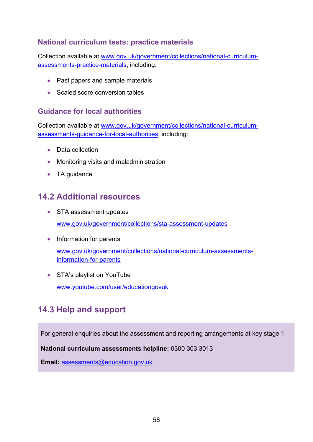## **National curriculum tests: practice materials**

Collection available at [www.gov.uk/government/collections/national-curriculum](http://www.gov.uk/government/collections/national-curriculum-assessments-practice-materials)[assessments-practice-materials,](http://www.gov.uk/government/collections/national-curriculum-assessments-practice-materials) including:

- Past papers and sample materials
- Scaled score conversion tables

## **Guidance for local authorities**

Collection available at [www.gov.uk/government/collections/national-curriculum](http://www.gov.uk/government/collections/national-curriculum-assessments-guidance-for-local-authorities)[assessments-guidance-for-local-authorities,](http://www.gov.uk/government/collections/national-curriculum-assessments-guidance-for-local-authorities) including:

- Data collection
- Monitoring visits and maladministration
- TA guidance

# <span id="page-57-0"></span>**14.2 Additional resources**

- STA assessment updates [www.gov.uk/government/collections/sta-assessment-updates](http://www.gov.uk/government/collections/sta-assessment-updates)
- Information for parents [www.gov.uk/government/collections/national-curriculum-assessments](http://www.gov.uk/government/collections/national-curriculum-assessments-information-for-parents)[information-for-parents](http://www.gov.uk/government/collections/national-curriculum-assessments-information-for-parents)
- STA's playlist on YouTube [www.youtube.com/user/educationgovuk](https://www.youtube.com/playlist?list=PL6gGtLyXoeq9eWA31dGs2RmsAM8jDhDXs)

# <span id="page-57-1"></span>**14.3 Help and support**

For general enquiries about the assessment and reporting arrangements at key stage 1

#### **National curriculum assessments helpline:** 0300 303 3013

**Email:** [assessments@education.gov.uk](mailto:assessments@education.gov.uk)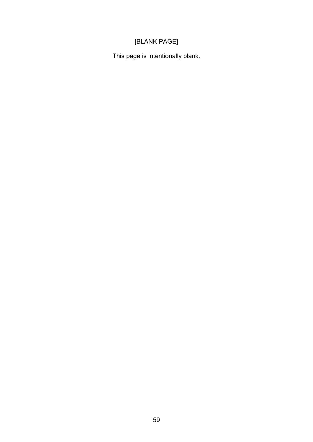# [BLANK PAGE]

This page is intentionally blank.